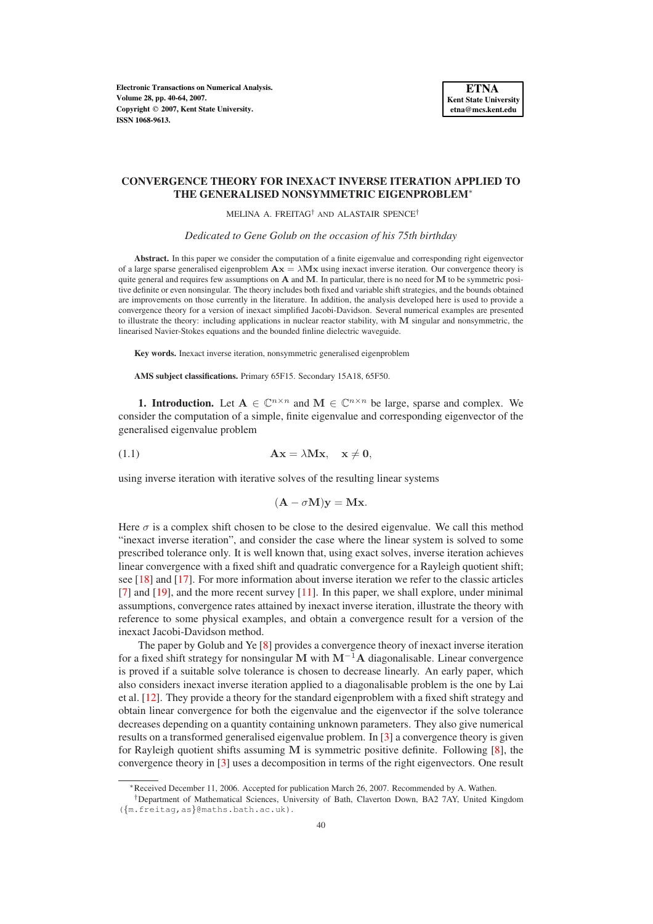**Electronic Transactions on Numerical Analysis. Volume 28, pp. 40-64, 2007. Copyright 2007, Kent State University. ISSN 1068-9613.**

## **CONVERGENCE THEORY FOR INEXACT INVERSE ITERATION APPLIED TO THE GENERALISED NONSYMMETRIC EIGENPROBLEM**<sup>∗</sup>

MELINA A. FREITAG† AND ALASTAIR SPENCE†

*Dedicated to Gene Golub on the occasion of his 75th birthday*

**Abstract.** In this paper we consider the computation of a finite eigenvalue and corresponding right eigenvector of a large sparse generalised eigenproblem  $A x = \lambda M x$  using inexact inverse iteration. Our convergence theory is quite general and requires few assumptions on  $A$  and  $M$ . In particular, there is no need for  $M$  to be symmetric positive definite or even nonsingular. The theory includes both fixed and variable shift strategies, and the bounds obtained are improvements on those currently in the literature. In addition, the analysis developed here is used to provide a convergence theory for a version of inexact simplified Jacobi-Davidson. Several numerical examples are presented to illustrate the theory: including applications in nuclear reactor stability, with M singular and nonsymmetric, the linearised Navier-Stokes equations and the bounded finline dielectric waveguide.

**Key words.** Inexact inverse iteration, nonsymmetric generalised eigenproblem

**AMS subject classifications.** Primary 65F15. Secondary 15A18, 65F50.

**1. Introduction.** Let  $A \in \mathbb{C}^{n \times n}$  and  $M \in \mathbb{C}^{n \times n}$  be large, sparse and complex. We consider the computation of a simple, finite eigenvalue and corresponding eigenvector of the generalised eigenvalue problem

<span id="page-0-0"></span>(1.1) 
$$
\mathbf{A}\mathbf{x} = \lambda \mathbf{M}\mathbf{x}, \quad \mathbf{x} \neq \mathbf{0},
$$

using inverse iteration with iterative solves of the resulting linear systems

$$
(\mathbf{A} - \sigma \mathbf{M})\mathbf{y} = \mathbf{M}\mathbf{x}.
$$

Here  $\sigma$  is a complex shift chosen to be close to the desired eigenvalue. We call this method "inexact inverse iteration", and consider the case where the linear system is solved to some prescribed tolerance only. It is well known that, using exact solves, inverse iteration achieves linear convergence with a fixed shift and quadratic convergence for a Rayleigh quotient shift; see [\[18\]](#page-24-0) and [\[17\]](#page-24-1). For more information about inverse iteration we refer to the classic articles [\[7\]](#page-23-0) and [\[19\]](#page-24-2), and the more recent survey [\[11\]](#page-23-1). In this paper, we shall explore, under minimal assumptions, convergence rates attained by inexact inverse iteration, illustrate the theory with reference to some physical examples, and obtain a convergence result for a version of the inexact Jacobi-Davidson method.

The paper by Golub and Ye [\[8\]](#page-23-2) provides a convergence theory of inexact inverse iteration for a fixed shift strategy for nonsingular M with  $M^{-1}A$  diagonalisable. Linear convergence is proved if a suitable solve tolerance is chosen to decrease linearly. An early paper, which also considers inexact inverse iteration applied to a diagonalisable problem is the one by Lai et al. [\[12\]](#page-23-3). They provide a theory for the standard eigenproblem with a fixed shift strategy and obtain linear convergence for both the eigenvalue and the eigenvector if the solve tolerance decreases depending on a quantity containing unknown parameters. They also give numerical results on a transformed generalised eigenvalue problem. In [\[3\]](#page-23-4) a convergence theory is given for Rayleigh quotient shifts assuming  $M$  is symmetric positive definite. Following  $[8]$ , the convergence theory in [\[3\]](#page-23-4) uses a decomposition in terms of the right eigenvectors. One result

<sup>∗</sup>Received December 11, 2006. Accepted for publication March 26, 2007. Recommended by A. Wathen.

<sup>†</sup>Department of Mathematical Sciences, University of Bath, Claverton Down, BA2 7AY, United Kingdom ({m.freitag,as}@maths.bath.ac.uk).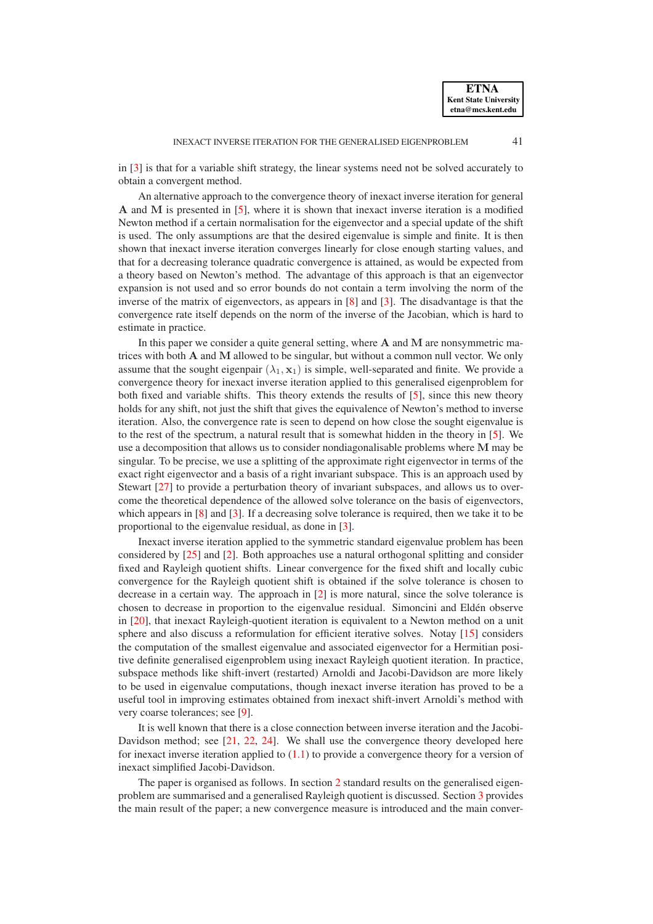in [\[3\]](#page-23-4) is that for a variable shift strategy, the linear systems need not be solved accurately to obtain a convergent method.

An alternative approach to the convergence theory of inexact inverse iteration for general A and M is presented in [\[5\]](#page-23-5), where it is shown that inexact inverse iteration is a modified Newton method if a certain normalisation for the eigenvector and a special update of the shift is used. The only assumptions are that the desired eigenvalue is simple and finite. It is then shown that inexact inverse iteration converges linearly for close enough starting values, and that for a decreasing tolerance quadratic convergence is attained, as would be expected from a theory based on Newton's method. The advantage of this approach is that an eigenvector expansion is not used and so error bounds do not contain a term involving the norm of the inverse of the matrix of eigenvectors, as appears in [\[8\]](#page-23-2) and [\[3\]](#page-23-4). The disadvantage is that the convergence rate itself depends on the norm of the inverse of the Jacobian, which is hard to estimate in practice.

In this paper we consider a quite general setting, where  $A$  and  $M$  are nonsymmetric matrices with both A and M allowed to be singular, but without a common null vector. We only assume that the sought eigenpair  $(\lambda_1, \mathbf{x}_1)$  is simple, well-separated and finite. We provide a convergence theory for inexact inverse iteration applied to this generalised eigenproblem for both fixed and variable shifts. This theory extends the results of [\[5\]](#page-23-5), since this new theory holds for any shift, not just the shift that gives the equivalence of Newton's method to inverse iteration. Also, the convergence rate is seen to depend on how close the sought eigenvalue is to the rest of the spectrum, a natural result that is somewhat hidden in the theory in [\[5\]](#page-23-5). We use a decomposition that allows us to consider nondiagonalisable problems where M may be singular. To be precise, we use a splitting of the approximate right eigenvector in terms of the exact right eigenvector and a basis of a right invariant subspace. This is an approach used by Stewart [\[27\]](#page-24-3) to provide a perturbation theory of invariant subspaces, and allows us to overcome the theoretical dependence of the allowed solve tolerance on the basis of eigenvectors, which appears in [\[8\]](#page-23-2) and [\[3\]](#page-23-4). If a decreasing solve tolerance is required, then we take it to be proportional to the eigenvalue residual, as done in [\[3\]](#page-23-4).

Inexact inverse iteration applied to the symmetric standard eigenvalue problem has been considered by [\[25\]](#page-24-4) and [\[2\]](#page-23-6). Both approaches use a natural orthogonal splitting and consider fixed and Rayleigh quotient shifts. Linear convergence for the fixed shift and locally cubic convergence for the Rayleigh quotient shift is obtained if the solve tolerance is chosen to decrease in a certain way. The approach in [\[2\]](#page-23-6) is more natural, since the solve tolerance is chosen to decrease in proportion to the eigenvalue residual. Simoncini and Elden observe ´ in [\[20\]](#page-24-5), that inexact Rayleigh-quotient iteration is equivalent to a Newton method on a unit sphere and also discuss a reformulation for efficient iterative solves. Notay [\[15\]](#page-24-6) considers the computation of the smallest eigenvalue and associated eigenvector for a Hermitian positive definite generalised eigenproblem using inexact Rayleigh quotient iteration. In practice, subspace methods like shift-invert (restarted) Arnoldi and Jacobi-Davidson are more likely to be used in eigenvalue computations, though inexact inverse iteration has proved to be a useful tool in improving estimates obtained from inexact shift-invert Arnoldi's method with very coarse tolerances; see [\[9\]](#page-23-7).

It is well known that there is a close connection between inverse iteration and the Jacobi-Davidson method; see [\[21,](#page-24-7) [22,](#page-24-8) [24\]](#page-24-9). We shall use the convergence theory developed here for inexact inverse iteration applied to  $(1.1)$  to provide a convergence theory for a version of inexact simplified Jacobi-Davidson.

The paper is organised as follows. In section [2](#page-2-0) standard results on the generalised eigenproblem are summarised and a generalised Rayleigh quotient is discussed. Section [3](#page-4-0) provides the main result of the paper; a new convergence measure is introduced and the main conver-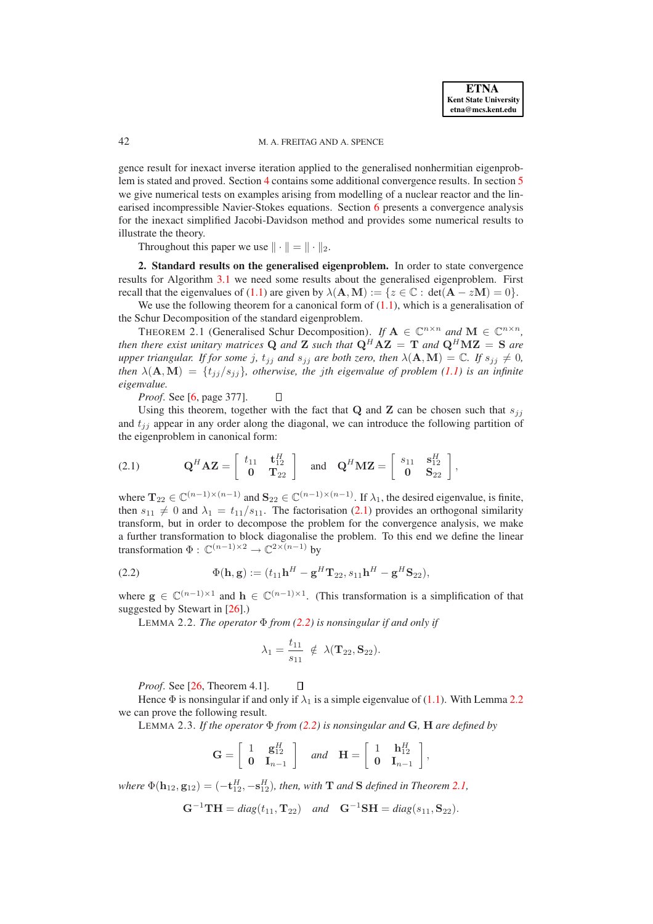gence result for inexact inverse iteration applied to the generalised nonhermitian eigenproblem is stated and proved. Section [4](#page-12-0) contains some additional convergence results. In section [5](#page-14-0) we give numerical tests on examples arising from modelling of a nuclear reactor and the linearised incompressible Navier-Stokes equations. Section [6](#page-18-0) presents a convergence analysis for the inexact simplified Jacobi-Davidson method and provides some numerical results to illustrate the theory.

<span id="page-2-4"></span>Throughout this paper we use  $\|\cdot\| = \|\cdot\|_2$ .

<span id="page-2-0"></span>**2. Standard results on the generalised eigenproblem.** In order to state convergence results for Algorithm [3.1](#page-4-1) we need some results about the generalised eigenproblem. First recall that the eigenvalues of [\(1.1\)](#page-0-0) are given by  $\lambda(\mathbf{A}, \mathbf{M}) := \{z \in \mathbb{C} : \det(\mathbf{A} - z\mathbf{M}) = 0\}.$ 

We use the following theorem for a canonical form of  $(1.1)$ , which is a generalisation of the Schur Decomposition of the standard eigenproblem.

THEOREM 2.1 (Generalised Schur Decomposition). *If*  $A \in \mathbb{C}^{n \times n}$  and  $M \in \mathbb{C}^{n \times n}$ , *then there exist unitary matrices* Q *and* Z *such that*  $Q^H A Z = T$  *and*  $Q^H M Z = S$  *are upper triangular. If for some j,*  $t_{jj}$  *and*  $s_{jj}$  *are both zero, then*  $\lambda(\mathbf{A}, \mathbf{M}) = \mathbb{C}$ *. If*  $s_{jj} \neq 0$ *, then*  $\lambda$ (**A**, **M**) = { $t_{ij}/s_{ij}$ }*, otherwise, the jth eigenvalue of problem* [\(1.1\)](#page-0-0) *is an infinite eigenvalue.*

*Proof*. See [\[6,](#page-23-8) page 377].  $\Box$ 

Using this theorem, together with the fact that Q and Z can be chosen such that  $s_{ij}$ and  $t_{jj}$  appear in any order along the diagonal, we can introduce the following partition of the eigenproblem in canonical form:

<span id="page-2-1"></span>(2.1) 
$$
\mathbf{Q}^H \mathbf{A} \mathbf{Z} = \begin{bmatrix} t_{11} & \mathbf{t}_{12}^H \\ \mathbf{0} & \mathbf{T}_{22} \end{bmatrix} \text{ and } \mathbf{Q}^H \mathbf{M} \mathbf{Z} = \begin{bmatrix} s_{11} & \mathbf{s}_{12}^H \\ \mathbf{0} & \mathbf{S}_{22} \end{bmatrix},
$$

where  $\mathbf{T}_{22} \in \mathbb{C}^{(n-1)\times(n-1)}$  and  $\mathbf{S}_{22} \in \mathbb{C}^{(n-1)\times(n-1)}$ . If  $\lambda_1$ , the desired eigenvalue, is finite, then  $s_{11} \neq 0$  and  $\lambda_1 = t_{11}/s_{11}$ . The factorisation [\(2.1\)](#page-2-1) provides an orthogonal similarity transform, but in order to decompose the problem for the convergence analysis, we make a further transformation to block diagonalise the problem. To this end we define the linear transformation  $\Phi: \mathbb{C}^{(n-1)\times 2} \to \mathbb{C}^{2\times (n-1)}$  by

<span id="page-2-2"></span>(2.2) 
$$
\Phi(\mathbf{h}, \mathbf{g}) := (t_{11}\mathbf{h}^H - \mathbf{g}^H \mathbf{T}_{22}, s_{11}\mathbf{h}^H - \mathbf{g}^H \mathbf{S}_{22}),
$$

where  $g \in \mathbb{C}^{(n-1)\times 1}$  and  $h \in \mathbb{C}^{(n-1)\times 1}$ . (This transformation is a simplification of that suggested by Stewart in [\[26\]](#page-24-10).)

<span id="page-2-3"></span>LEMMA 2.2. *The operator* Φ *from [\(2.2\)](#page-2-2) is nonsingular if and only if*

$$
\lambda_1 = \frac{t_{11}}{s_{11}} \notin \lambda(\mathbf{T}_{22}, \mathbf{S}_{22}).
$$

*Proof*. See [\[26,](#page-24-10) Theorem 4.1].  $\Box$ 

Hence  $\Phi$  is nonsingular if and only if  $\lambda_1$  is a simple eigenvalue of [\(1.1\)](#page-0-0). With Lemma [2.2](#page-2-3) we can prove the following result.

LEMMA 2.3. *If the operator* Φ *from [\(2.2\)](#page-2-2) is nonsingular and* G*,* H *are defined by*

<span id="page-2-5"></span>
$$
\mathbf{G} = \left[ \begin{array}{cc} 1 & \mathbf{g}_{12}^H \\ \mathbf{0} & \mathbf{I}_{n-1} \end{array} \right] \quad \text{and} \quad \mathbf{H} = \left[ \begin{array}{cc} 1 & \mathbf{h}_{12}^H \\ \mathbf{0} & \mathbf{I}_{n-1} \end{array} \right],
$$

*where*  $\Phi(\mathbf{h}_{12}, \mathbf{g}_{12}) = (-\mathbf{t}_{12}^H, -\mathbf{s}_{12}^H)$ *, then, with* **T** *and* **S** *defined in Theorem [2.1,](#page-2-4)* 

$$
\mathbf{G}^{-1}\mathbf{TH} = diag(t_{11}, \mathbf{T}_{22}) \quad and \quad \mathbf{G}^{-1}\mathbf{SH} = diag(s_{11}, \mathbf{S}_{22}).
$$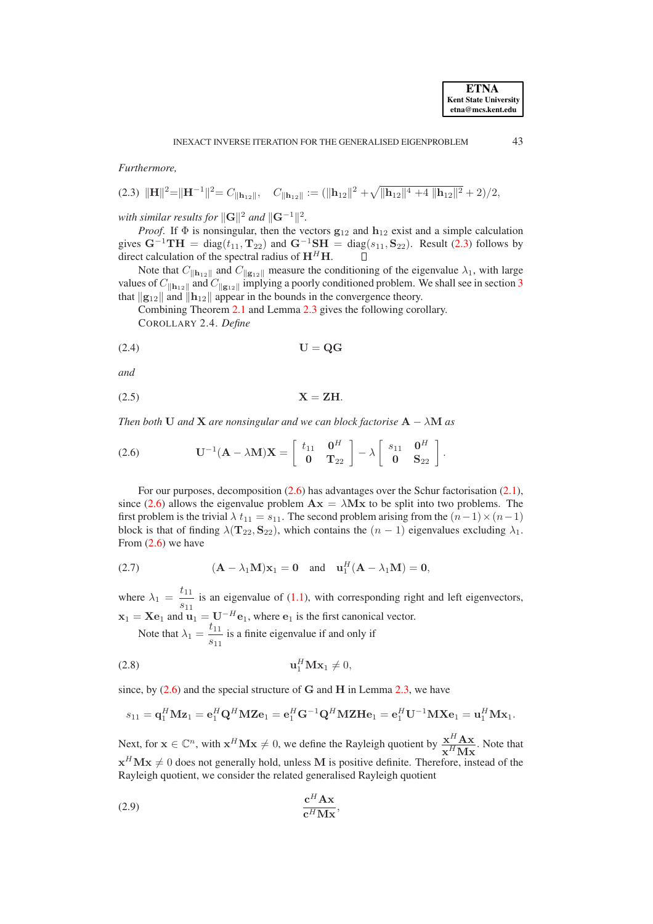*Furthermore,*

<span id="page-3-0"></span>
$$
(2.3) \|\mathbf{H}\|^2 = \|\mathbf{H}^{-1}\|^2 = C_{\|\mathbf{h}_{12}\|}, \quad C_{\|\mathbf{h}_{12}\|} := (\|\mathbf{h}_{12}\|^2 + \sqrt{\|\mathbf{h}_{12}\|^4 + 4 \|\mathbf{h}_{12}\|^2} + 2)/2,
$$

*with similar results for*  $\|\mathbf{G}\|^2$  *and*  $\|\mathbf{G}^{-1}\|^2$ .

*Proof.* If  $\Phi$  is nonsingular, then the vectors  $g_{12}$  and  $h_{12}$  exist and a simple calculation gives  $G^{-1}TH = diag(t_{11}, T_{22})$  and  $G^{-1}SH = diag(s_{11}, S_{22})$ . Result [\(2.3\)](#page-3-0) follows by direct calculation of the spectral radius of  $H^H H$ .  $\Box$ 

Note that  $C_{\|\mathbf{h}_{12}\|}$  and  $C_{\|\mathbf{g}_{12}\|}$  measure the conditioning of the eigenvalue  $\lambda_1$ , with large values of  $C_{\|\mathbf{h}_{12}\|}$  and  $C_{\|\mathbf{g}_{12}\|}$  implying a poorly conditioned problem. We shall see in section [3](#page-4-0) that  $\|{\bf g}_{12}\|$  and  $\|{\bf h}_{12}\|$  appear in the bounds in the convergence theory.

Combining Theorem [2.1](#page-2-4) and Lemma [2.3](#page-2-5) gives the following corollary. COROLLARY 2.4. *Define*

$$
U = \mathbf{Q}\mathbf{G}
$$

*and*

<span id="page-3-4"></span>
$$
X = ZH.
$$

*Then both* U *and* **X** *are nonsingular and we can block factorise*  $A - \lambda M$  *as* 

<span id="page-3-1"></span>(2.6) 
$$
\mathbf{U}^{-1}(\mathbf{A} - \lambda \mathbf{M})\mathbf{X} = \begin{bmatrix} t_{11} & \mathbf{0}^H \\ \mathbf{0} & \mathbf{T}_{22} \end{bmatrix} - \lambda \begin{bmatrix} s_{11} & \mathbf{0}^H \\ \mathbf{0} & \mathbf{S}_{22} \end{bmatrix}.
$$

For our purposes, decomposition  $(2.6)$  has advantages over the Schur factorisation  $(2.1)$ , since [\(2.6\)](#page-3-1) allows the eigenvalue problem  $\mathbf{A}\mathbf{x} = \lambda \mathbf{M}\mathbf{x}$  to be split into two problems. The first problem is the trivial  $\lambda t_{11} = s_{11}$ . The second problem arising from the  $(n-1) \times (n-1)$ block is that of finding  $\lambda(T_{22}, S_{22})$ , which contains the  $(n - 1)$  eigenvalues excluding  $\lambda_1$ . From  $(2.6)$  we have

<span id="page-3-2"></span>(2.7) 
$$
(\mathbf{A} - \lambda_1 \mathbf{M})\mathbf{x}_1 = \mathbf{0} \text{ and } \mathbf{u}_1^H(\mathbf{A} - \lambda_1 \mathbf{M}) = \mathbf{0},
$$

where  $\lambda_1 = \frac{t_{11}}{1}$  $\frac{s_{11}}{s_{11}}$  is an eigenvalue of [\(1.1\)](#page-0-0), with corresponding right and left eigenvectors,  $\mathbf{x}_1 = \mathbf{X} \mathbf{e}_1$  and  $\mathbf{u}_1 = \mathbf{U}^{-H} \mathbf{e}_1$ , where  $\mathbf{e}_1$  is the first canonical vector. Note that  $\lambda_1 = \frac{t_{11}}{1}$  $rac{1}{s_{11}}$  is a finite eigenvalue if and only if

<span id="page-3-3"></span>
$$
\mathbf{u}_1^H \mathbf{M} \mathbf{x}_1 \neq 0,
$$

since, by  $(2.6)$  and the special structure of G and H in Lemma [2.3,](#page-2-5) we have

$$
s_{11} = \mathbf{q}_1^H \mathbf{M} \mathbf{z}_1 = \mathbf{e}_1^H \mathbf{Q}^H \mathbf{M} \mathbf{Z} \mathbf{e}_1 = \mathbf{e}_1^H \mathbf{G}^{-1} \mathbf{Q}^H \mathbf{M} \mathbf{Z} \mathbf{H} \mathbf{e}_1 = \mathbf{e}_1^H \mathbf{U}^{-1} \mathbf{M} \mathbf{X} \mathbf{e}_1 = \mathbf{u}_1^H \mathbf{M} \mathbf{x}_1.
$$

Next, for  $\mathbf{x} \in \mathbb{C}^n$ , with  $\mathbf{x}^H \mathbf{M} \mathbf{x} \neq 0$ , we define the Rayleigh quotient by  $\frac{\mathbf{x}^H \mathbf{A} \mathbf{x}}{\mathbf{x}^H \mathbf{M} \mathbf{x}}$  $\frac{\mathbf{x} + \mathbf{A}\mathbf{x}}{\mathbf{x}^H \mathbf{M} \mathbf{x}}$ . Note that  $\mathbf{x}^H \mathbf{M} \mathbf{x} \neq 0$  does not generally hold, unless M is positive definite. Therefore, instead of the Rayleigh quotient, we consider the related generalised Rayleigh quotient

<span id="page-3-5"></span>
$$
\frac{\mathbf{c}^H \mathbf{A} \mathbf{x}}{\mathbf{c}^H \mathbf{M} \mathbf{x}}
$$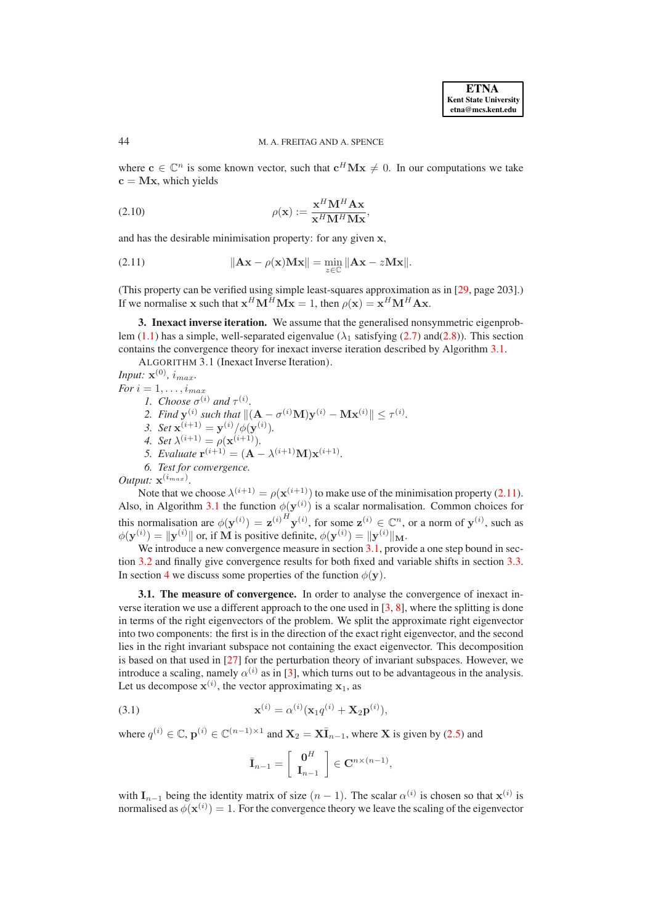### 44 M. A. FREITAG AND A. SPENCE

where  $c \in \mathbb{C}^n$  is some known vector, such that  $c^H M x \neq 0$ . In our computations we take  $c = Mx$ , which yields

<span id="page-4-5"></span>(2.10) 
$$
\rho(\mathbf{x}) := \frac{\mathbf{x}^H \mathbf{M}^H \mathbf{A} \mathbf{x}}{\mathbf{x}^H \mathbf{M}^H \mathbf{M} \mathbf{x}},
$$

and has the desirable minimisation property: for any given x,

<span id="page-4-2"></span>(2.11) 
$$
\|\mathbf{A}\mathbf{x} - \rho(\mathbf{x})\mathbf{M}\mathbf{x}\| = \min_{z \in \mathbb{C}} \|\mathbf{A}\mathbf{x} - z\mathbf{M}\mathbf{x}\|.
$$

(This property can be verified using simple least-squares approximation as in [\[29,](#page-24-11) page 203].) If we normalise x such that  $x^H \mathbf{M}^H \mathbf{M} \mathbf{x} = 1$ , then  $\rho(\mathbf{x}) = \mathbf{x}^H \mathbf{M}^H \mathbf{A} \mathbf{x}$ .

<span id="page-4-1"></span><span id="page-4-0"></span>**3. Inexact inverse iteration.** We assume that the generalised nonsymmetric eigenprob-lem [\(1.1\)](#page-0-0) has a simple, well-separated eigenvalue ( $\lambda_1$  satisfying [\(2.7\)](#page-3-2) and[\(2.8\)](#page-3-3)). This section contains the convergence theory for inexact inverse iteration described by Algorithm [3.1.](#page-4-1)

ALGORITHM 3.1 (Inexact Inverse Iteration).

*Input:*  $\mathbf{x}^{(0)}$ *, i<sub>max</sub>. For*  $i = 1, \ldots, i_{max}$ *1. Choose*  $\sigma^{(i)}$  *and*  $\tau^{(i)}$ *.* 2. *Find*  $\mathbf{y}^{(i)}$  such that  $\|(\mathbf{A} - \sigma^{(i)}\mathbf{M})\mathbf{y}^{(i)} - \mathbf{M}\mathbf{x}^{(i)}\| \leq \tau^{(i)}$ . *3. Set*  $\mathbf{x}^{(i+1)} = \mathbf{y}^{(i)}/\phi(\mathbf{y}^{(i)})$ *. 4. Set*  $\lambda^{(i+1)} = \rho(\mathbf{x}^{(i+1)})$ *. 5. Evaluate*  $\mathbf{r}^{(i+1)} = (\mathbf{A} - \lambda^{(i+1)}\mathbf{M})\mathbf{x}^{(i+1)}$ . *6. Test for convergence.*

*Output:*  $\mathbf{x}^{(i_{max})}$ .

Note that we choose  $\lambda^{(i+1)} = \rho(\mathbf{x}^{(i+1)})$  to make use of the minimisation property [\(2.11\)](#page-4-2). Also, in Algorithm [3.1](#page-4-1) the function  $\phi(\mathbf{y}^{(i)})$  is a scalar normalisation. Common choices for this normalisation are  $\phi(\mathbf{y}^{(i)}) = \mathbf{z}^{(i)H} \mathbf{y}^{(i)}$ , for some  $\mathbf{z}^{(i)} \in \mathbb{C}^n$ , or a norm of  $\mathbf{y}^{(i)}$ , such as  $\phi(\mathbf{y}^{(i)}) = \|\mathbf{y}^{(i)}\|$  or, if M is positive definite,  $\phi(\mathbf{y}^{(i)}) = \|\mathbf{y}^{(i)}\|_{\mathbf{M}}$ .

We introduce a new convergence measure in section [3.1,](#page-4-3) provide a one step bound in section [3.2](#page-7-0) and finally give convergence results for both fixed and variable shifts in section [3.3.](#page-9-0) In section [4](#page-12-0) we discuss some properties of the function  $\phi(\mathbf{y})$ .

<span id="page-4-3"></span>**3.1. The measure of convergence.** In order to analyse the convergence of inexact inverse iteration we use a different approach to the one used in [\[3,](#page-23-4) [8\]](#page-23-2), where the splitting is done in terms of the right eigenvectors of the problem. We split the approximate right eigenvector into two components: the first is in the direction of the exact right eigenvector, and the second lies in the right invariant subspace not containing the exact eigenvector. This decomposition is based on that used in [\[27\]](#page-24-3) for the perturbation theory of invariant subspaces. However, we introduce a scaling, namely  $\alpha^{(i)}$  as in [\[3\]](#page-23-4), which turns out to be advantageous in the analysis. Let us decompose  $\mathbf{x}^{(i)}$ , the vector approximating  $\mathbf{x}_1$ , as

<span id="page-4-4"></span>(3.1) 
$$
\mathbf{x}^{(i)} = \alpha^{(i)}(\mathbf{x}_1 q^{(i)} + \mathbf{X}_2 \mathbf{p}^{(i)}),
$$

where  $q^{(i)} \in \mathbb{C}$ ,  $\mathbf{p}^{(i)} \in \mathbb{C}^{(n-1)\times 1}$  and  $\mathbf{X}_2 = \mathbf{X}\overline{\mathbf{I}}_{n-1}$ , where X is given by [\(2.5\)](#page-3-4) and

$$
\bar{\mathbf{I}}_{n-1} = \left[ \begin{array}{c} \mathbf{0}^H \\ \mathbf{I}_{n-1} \end{array} \right] \in \mathbf{C}^{n \times (n-1)},
$$

with  $\mathbf{I}_{n-1}$  being the identity matrix of size  $(n-1)$ . The scalar  $\alpha^{(i)}$  is chosen so that  $\mathbf{x}^{(i)}$  is normalised as  $\phi(\mathbf{x}^{(i)}) = 1$ . For the convergence theory we leave the scaling of the eigenvector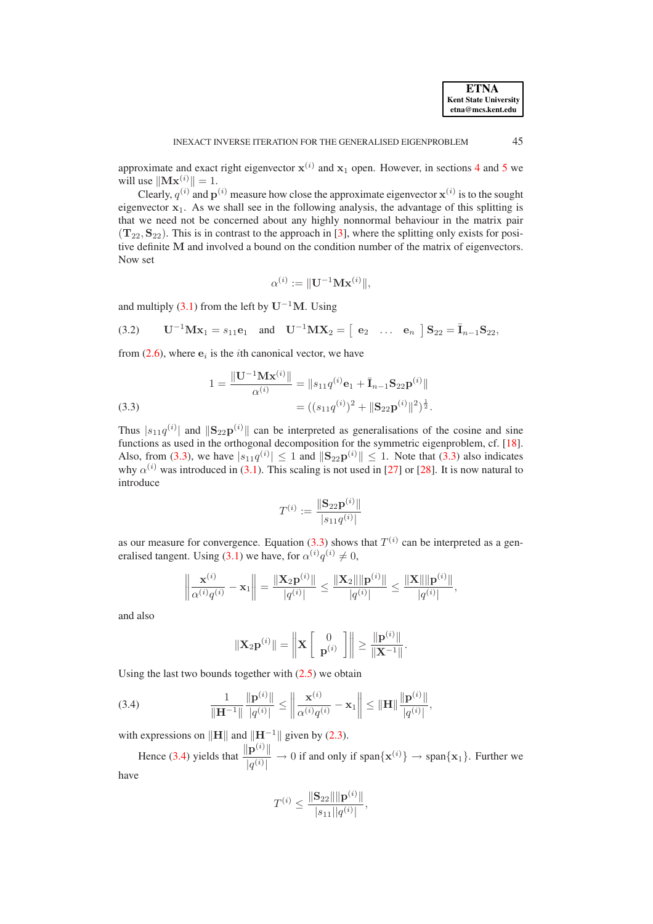approximate and exact right eigenvector  $x^{(i)}$  and  $x_1$  open. However, in sections [4](#page-12-0) and [5](#page-14-0) we will use  $\|\mathbf{Mx}^{(i)}\| = 1$ .

Clearly,  $q^{(i)}$  and  $p^{(i)}$  measure how close the approximate eigenvector  $x^{(i)}$  is to the sought eigenvector  $x_1$ . As we shall see in the following analysis, the advantage of this splitting is that we need not be concerned about any highly nonnormal behaviour in the matrix pair  $(T_{22}, S_{22})$ . This is in contrast to the approach in [\[3\]](#page-23-4), where the splitting only exists for positive definite M and involved a bound on the condition number of the matrix of eigenvectors. Now set

$$
\alpha^{(i)} := \|\mathbf{U}^{-1}\mathbf{M}\mathbf{x}^{(i)}\|,
$$

and multiply [\(3.1\)](#page-4-4) from the left by  $U^{-1}M$ . Using

<span id="page-5-2"></span>(3.2) 
$$
U^{-1}Mx_1 = s_{11}e_1
$$
 and  $U^{-1}MX_2 = [e_2 \dots e_n]S_{22} = I_{n-1}S_{22}$ ,

from  $(2.6)$ , where  $e_i$  is the *i*th canonical vector, we have

<span id="page-5-0"></span>(3.3)  
\n
$$
1 = \frac{\|\mathbf{U}^{-1}\mathbf{M}\mathbf{x}^{(i)}\|}{\alpha^{(i)}} = \|s_{11}q^{(i)}\mathbf{e}_1 + \bar{\mathbf{I}}_{n-1}\mathbf{S}_{22}\mathbf{p}^{(i)}\|
$$
\n
$$
= ((s_{11}q^{(i)})^2 + \|\mathbf{S}_{22}\mathbf{p}^{(i)}\|^2)^{\frac{1}{2}}.
$$

Thus  $|s_{11}q^{(i)}|$  and  $||\mathbf{S}_{22}\mathbf{p}^{(i)}||$  can be interpreted as generalisations of the cosine and sine functions as used in the orthogonal decomposition for the symmetric eigenproblem, cf. [\[18\]](#page-24-0). Also, from [\(3.3\)](#page-5-0), we have  $|s_{11}q^{(i)}| \leq 1$  and  $||\mathbf{S}_{22}\mathbf{p}^{(i)}|| \leq 1$ . Note that (3.3) also indicates why  $\alpha^{(i)}$  was introduced in [\(3.1\)](#page-4-4). This scaling is not used in [\[27\]](#page-24-3) or [\[28\]](#page-24-12). It is now natural to introduce

$$
T^{(i)} := \frac{\|\mathbf{S}_{22}\mathbf{p}^{(i)}\|}{|s_{11}q^{(i)}|}
$$

as our measure for convergence. Equation [\(3.3\)](#page-5-0) shows that  $T^{(i)}$  can be interpreted as a gen-eralised tangent. Using [\(3.1\)](#page-4-4) we have, for  $\alpha^{(i)}q^{(i)} \neq 0$ ,

$$
\left\|\frac{\mathbf{x}^{(i)}}{\alpha^{(i)}q^{(i)}} - \mathbf{x}_1\right\| = \frac{\|\mathbf{X}_2\mathbf{p}^{(i)}\|}{|q^{(i)}|} \le \frac{\|\mathbf{X}_2\| \|\mathbf{p}^{(i)}\|}{|q^{(i)}|} \le \frac{\|\mathbf{X}\| \|\mathbf{p}^{(i)}\|}{|q^{(i)}|},
$$

and also

$$
\|\mathbf{X}_{2}\mathbf{p}^{(i)}\| = \left\|\mathbf{X} \left[\begin{array}{c} 0 \\ \mathbf{p}^{(i)} \end{array}\right]\right\| \geq \frac{\|\mathbf{p}^{(i)}\|}{\|\mathbf{X}^{-1}\|}.
$$

Using the last two bounds together with  $(2.5)$  we obtain

<span id="page-5-1"></span>(3.4) 
$$
\frac{1}{\|\mathbf{H}^{-1}\|} \frac{\|\mathbf{p}^{(i)}\|}{|q^{(i)}|} \le \left\|\frac{\mathbf{x}^{(i)}}{\alpha^{(i)}q^{(i)}} - \mathbf{x}_1\right\| \le \|\mathbf{H}\| \frac{\|\mathbf{p}^{(i)}\|}{|q^{(i)}|},
$$

with expressions on  $\|\mathbf{H}\|$  and  $\|\mathbf{H}^{-1}\|$  given by [\(2.3\)](#page-3-0).

Hence [\(3.4\)](#page-5-1) yields that  $\frac{\|\mathbf{p}^{(i)}\|}{\|\mathbf{p}^{(i)}\|}$  $\frac{|\mathbf{p}^{\cdots}||}{|q^{(i)}|} \to 0$  if and only if span $\{\mathbf{x}^{(i)}\} \to \text{span}\{\mathbf{x}_1\}$ . Further we have

$$
T^{(i)} \le \frac{\|\mathbf{S}_{22}\| \|\mathbf{p}^{(i)}\|}{|s_{11}||q^{(i)}|},
$$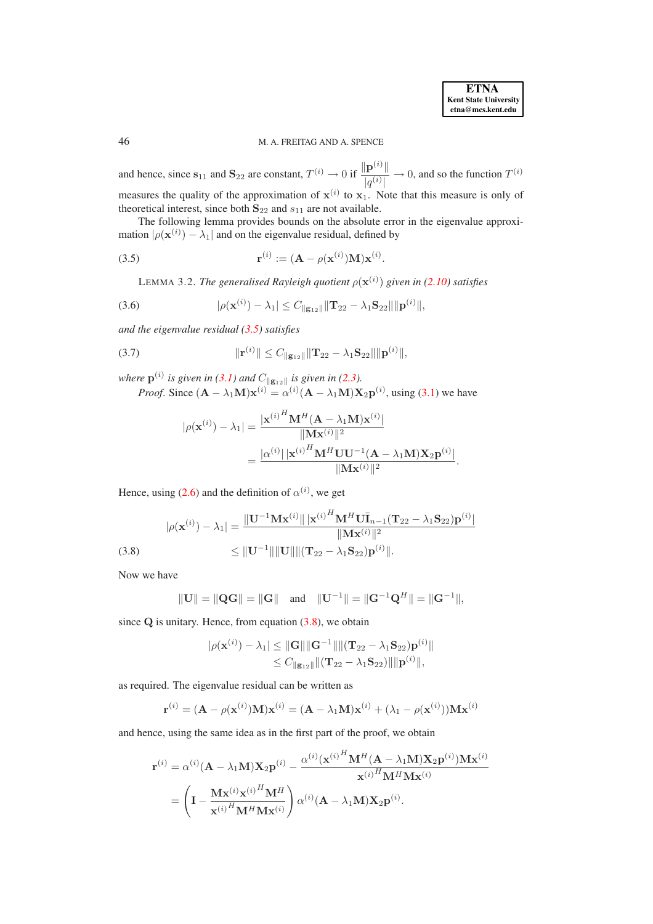46 M. A. FREITAG AND A. SPENCE

and hence, since  $s_{11}$  and  $S_{22}$  are constant,  $T^{(i)} \rightarrow 0$  if  $\frac{\|\mathbf{p}^{(i)}\|}{|q^{(i)}|}$  $\frac{\|\mathbf{p}^{(i)}\|}{|q^{(i)}|} \to 0$ , and so the function  $T^{(i)}$ measures the quality of the approximation of  $x^{(i)}$  to  $x_1$ . Note that this measure is only of theoretical interest, since both  $S_{22}$  and  $s_{11}$  are not available.

The following lemma provides bounds on the absolute error in the eigenvalue approximation  $|\rho(\mathbf{x}^{(i)}) - \lambda_1|$  and on the eigenvalue residual, defined by

.

<span id="page-6-2"></span>(3.5) 
$$
\mathbf{r}^{(i)} := (\mathbf{A} - \rho(\mathbf{x}^{(i)})\mathbf{M})\mathbf{x}^{(i)}
$$

<span id="page-6-0"></span>LEMMA 3.2. *The generalised Rayleigh quotient*  $\rho(\mathbf{x}^{(i)})$  given in [\(2.10\)](#page-4-5) satisfies

<span id="page-6-3"></span>(3.6) 
$$
|\rho(\mathbf{x}^{(i)}) - \lambda_1| \leq C_{\|\mathbf{g}_{12}\|} \|\mathbf{T}_{22} - \lambda_1 \mathbf{S}_{22}\| \|\mathbf{p}^{(i)}\|,
$$

*and the eigenvalue residual [\(3.5\)](#page-6-0) satisfies*

(3.7) 
$$
\|\mathbf{r}^{(i)}\| \leq C_{\|\mathbf{g}_{12}\|} \|\mathbf{T}_{22} - \lambda_1 \mathbf{S}_{22}\| \|\mathbf{p}^{(i)}\|,
$$

where  $p^{(i)}$  is given in [\(3.1\)](#page-4-4) and  $C_{\parallel g_{12} \parallel}$  is given in [\(2.3\)](#page-3-0).

*Proof.* Since  $(A - \lambda_1 M)\mathbf{x}^{(i)} = \alpha^{(i)}(A - \lambda_1 M) \mathbf{X}_2 \mathbf{p}^{(i)}$ , using [\(3.1\)](#page-4-4) we have

$$
|\rho(\mathbf{x}^{(i)}) - \lambda_1| = \frac{|\mathbf{x}^{(i)}^H \mathbf{M}^H (\mathbf{A} - \lambda_1 \mathbf{M}) \mathbf{x}^{(i)}|}{\|\mathbf{M} \mathbf{x}^{(i)}\|^2}
$$
  
= 
$$
\frac{|\alpha^{(i)}| |\mathbf{x}^{(i)}|^H \mathbf{M}^H \mathbf{U} \mathbf{U}^{-1} (\mathbf{A} - \lambda_1 \mathbf{M}) \mathbf{X}_2 \mathbf{p}^{(i)}\|}{\|\mathbf{M} \mathbf{x}^{(i)}\|^2}.
$$

Hence, using [\(2.6\)](#page-3-1) and the definition of  $\alpha^{(i)}$ , we get

<span id="page-6-1"></span>
$$
|\rho(\mathbf{x}^{(i)}) - \lambda_1| = \frac{\|\mathbf{U}^{-1}\mathbf{M}\mathbf{x}^{(i)}\| |\mathbf{x}^{(i)}^H \mathbf{M}^H \mathbf{U} \mathbf{I}_{n-1} (\mathbf{T}_{22} - \lambda_1 \mathbf{S}_{22}) \mathbf{p}^{(i)}|}{\|\mathbf{M}\mathbf{x}^{(i)}\|^2} \leq \|\mathbf{U}^{-1}\| \|\mathbf{U}\| \|\mathbf{T}_{22} - \lambda_1 \mathbf{S}_{22}) \mathbf{p}^{(i)}\|.
$$
\n(3.8)

Now we have

$$
||\mathbf{U}|| = ||\mathbf{Q}\mathbf{G}|| = ||\mathbf{G}||
$$
 and  $||\mathbf{U}^{-1}|| = ||\mathbf{G}^{-1}\mathbf{Q}^{H}|| = ||\mathbf{G}^{-1}||$ ,

since  $Q$  is unitary. Hence, from equation  $(3.8)$ , we obtain

$$
|\rho(\mathbf{x}^{(i)}) - \lambda_1| \leq ||\mathbf{G}|| ||\mathbf{G}^{-1}|| ||(\mathbf{T}_{22} - \lambda_1 \mathbf{S}_{22}) \mathbf{p}^{(i)}||
$$
  
\n
$$
\leq C_{\|\mathbf{g}_{12}\|} ||(\mathbf{T}_{22} - \lambda_1 \mathbf{S}_{22})|| ||\mathbf{p}^{(i)}||,
$$

as required. The eigenvalue residual can be written as

$$
\mathbf{r}^{(i)} = (\mathbf{A} - \rho(\mathbf{x}^{(i)})\mathbf{M})\mathbf{x}^{(i)} = (\mathbf{A} - \lambda_1\mathbf{M})\mathbf{x}^{(i)} + (\lambda_1 - \rho(\mathbf{x}^{(i)}))\mathbf{M}\mathbf{x}^{(i)}
$$

and hence, using the same idea as in the first part of the proof, we obtain

$$
\mathbf{r}^{(i)} = \alpha^{(i)}(\mathbf{A} - \lambda_1 \mathbf{M})\mathbf{X}_2 \mathbf{p}^{(i)} - \frac{\alpha^{(i)}(\mathbf{x}^{(i)}^H \mathbf{M}^H (\mathbf{A} - \lambda_1 \mathbf{M})\mathbf{X}_2 \mathbf{p}^{(i)})\mathbf{M}\mathbf{x}^{(i)}}{\mathbf{x}^{(i)}^H \mathbf{M}^H \mathbf{M}\mathbf{x}^{(i)}}
$$

$$
= \left(\mathbf{I} - \frac{\mathbf{M}\mathbf{x}^{(i)}\mathbf{x}^{(i)}^H \mathbf{M}^H}{\mathbf{x}^{(i)}^H \mathbf{M}^H \mathbf{M}\mathbf{x}^{(i)}}\right) \alpha^{(i)}(\mathbf{A} - \lambda_1 \mathbf{M})\mathbf{X}_2 \mathbf{p}^{(i)}.
$$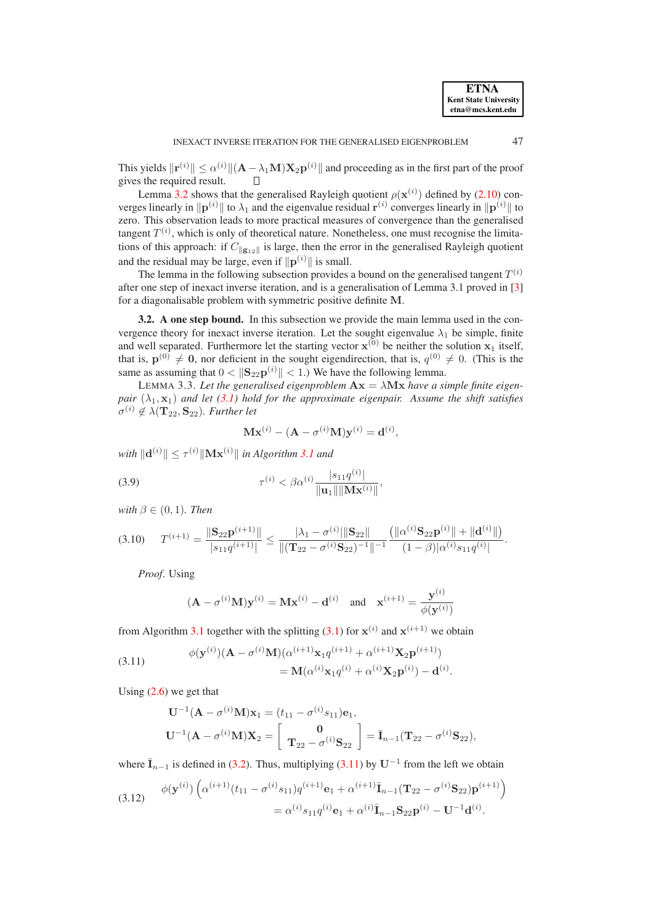This yields  $\|\mathbf{r}^{(i)}\| \leq \alpha^{(i)} \|(\mathbf{A} - \lambda_1 \mathbf{M}) \mathbf{X}_2 \mathbf{p}^{(i)} \|$  and proceeding as in the first part of the proof gives the required result.

Lemma [3.2](#page-6-2) shows that the generalised Rayleigh quotient  $\rho(\mathbf{x}^{(i)})$  defined by [\(2.10\)](#page-4-5) converges linearly in  $\|\mathbf{p}^{(i)}\|$  to  $\lambda_1$  and the eigenvalue residual  $\mathbf{r}^{(i)}$  converges linearly in  $\|\mathbf{p}^{(i)}\|$  to zero. This observation leads to more practical measures of convergence than the generalised tangent  $T^{(i)}$ , which is only of theoretical nature. Nonetheless, one must recognise the limitations of this approach: if  $C_{\|\mathbf{g}_{12}\|}$  is large, then the error in the generalised Rayleigh quotient and the residual may be large, even if  $\|\mathbf{p}^{(i)}\|$  is small.

The lemma in the following subsection provides a bound on the generalised tangent  $T^{(i)}$ after one step of inexact inverse iteration, and is a generalisation of Lemma 3.1 proved in [\[3\]](#page-23-4) for a diagonalisable problem with symmetric positive definite M.

<span id="page-7-0"></span>**3.2. A one step bound.** In this subsection we provide the main lemma used in the convergence theory for inexact inverse iteration. Let the sought eigenvalue  $\lambda_1$  be simple, finite and well separated. Furthermore let the starting vector  $x^{(0)}$  be neither the solution  $x_1$  itself, that is,  $p^{(0)} \neq 0$ , nor deficient in the sought eigendirection, that is,  $q^{(0)} \neq 0$ . (This is the same as assuming that  $0 < ||S_{22}p^{(i)}|| < 1$ .) We have the following lemma.

<span id="page-7-4"></span>LEMMA 3.3. Let the generalised eigenproblem  $Ax = \lambda Mx$  have a simple finite eigen*pair*  $(\lambda_1, \mathbf{x}_1)$  *and let* [\(3.1\)](#page-4-4) *hold for the approximate eigenpair. Assume the shift satisfies*  $\sigma^{(i)} \notin \lambda(\mathbf{T}_{22}, \mathbf{S}_{22})$ *. Further let* 

$$
\mathbf{Mx}^{(i)} - (\mathbf{A} - \sigma^{(i)}\mathbf{M})\mathbf{y}^{(i)} = \mathbf{d}^{(i)},
$$

 $with \|\mathbf{d}^{(i)}\| \leq \tau^{(i)}\|\mathbf{Mx}^{(i)}\|$  *in Algorithm* [3.1](#page-4-1) *and* 

<span id="page-7-3"></span>(3.9) 
$$
\tau^{(i)} < \beta \alpha^{(i)} \frac{|s_{11} q^{(i)}|}{\|\mathbf{u}_1\| \|\mathbf{M} \mathbf{x}^{(i)}\|},
$$

*with*  $\beta \in (0, 1)$ *. Then* 

$$
(3.10) \tT^{(i+1)} = \frac{\|\mathbf{S}_{22}\mathbf{p}^{(i+1)}\|}{|s_{11}q^{(i+1)}|} \le \frac{|\lambda_1 - \sigma^{(i)}|\|\mathbf{S}_{22}\|}{\|(T_{22} - \sigma^{(i)}\mathbf{S}_{22})^{-1}\|^{-1}} \frac{\left(\|\alpha^{(i)}\mathbf{S}_{22}\mathbf{p}^{(i)}\| + \|\mathbf{d}^{(i)}\|\right)}{(1-\beta)|\alpha^{(i)}s_{11}q^{(i)}|}.
$$

*Proof*. Using

$$
(\mathbf{A} - \sigma^{(i)}\mathbf{M})\mathbf{y}^{(i)} = \mathbf{M}\mathbf{x}^{(i)} - \mathbf{d}^{(i)} \quad \text{and} \quad \mathbf{x}^{(i+1)} = \frac{\mathbf{y}^{(i)}}{\phi(\mathbf{y}^{(i)})}
$$

from Algorithm [3.1](#page-4-1) together with the splitting [\(3.1\)](#page-4-4) for  $x^{(i)}$  and  $x^{(i+1)}$  we obtain

<span id="page-7-1"></span>(3.11) 
$$
\phi(\mathbf{y}^{(i)})(\mathbf{A} - \sigma^{(i)}\mathbf{M})(\alpha^{(i+1)}\mathbf{x}_1 q^{(i+1)} + \alpha^{(i+1)}\mathbf{X}_2 \mathbf{p}^{(i+1)}) = \mathbf{M}(\alpha^{(i)}\mathbf{x}_1 q^{(i)} + \alpha^{(i)}\mathbf{X}_2 \mathbf{p}^{(i)}) - \mathbf{d}^{(i)}.
$$

Using  $(2.6)$  we get that

$$
\mathbf{U}^{-1}(\mathbf{A} - \sigma^{(i)}\mathbf{M})\mathbf{x}_1 = (t_{11} - \sigma^{(i)}s_{11})\mathbf{e}_1,
$$
  

$$
\mathbf{U}^{-1}(\mathbf{A} - \sigma^{(i)}\mathbf{M})\mathbf{X}_2 = \begin{bmatrix} \mathbf{0} \\ \mathbf{T}_{22} - \sigma^{(i)}\mathbf{S}_{22} \end{bmatrix} = \bar{\mathbf{I}}_{n-1}(\mathbf{T}_{22} - \sigma^{(i)}\mathbf{S}_{22}),
$$

where  $\bar{I}_{n-1}$  is defined in [\(3.2\)](#page-5-2). Thus, multiplying [\(3.11\)](#page-7-1) by U<sup>-1</sup> from the left we obtain

<span id="page-7-2"></span>(3.12) 
$$
\phi(\mathbf{y}^{(i)}) \left( \alpha^{(i+1)}(t_{11} - \sigma^{(i)} s_{11}) q^{(i+1)} \mathbf{e}_1 + \alpha^{(i+1)} \overline{\mathbf{I}}_{n-1} (\mathbf{T}_{22} - \sigma^{(i)} \mathbf{S}_{22}) \mathbf{p}^{(i+1)} \right) = \alpha^{(i)} s_{11} q^{(i)} \mathbf{e}_1 + \alpha^{(i)} \overline{\mathbf{I}}_{n-1} \mathbf{S}_{22} \mathbf{p}^{(i)} - \mathbf{U}^{-1} \mathbf{d}^{(i)}.
$$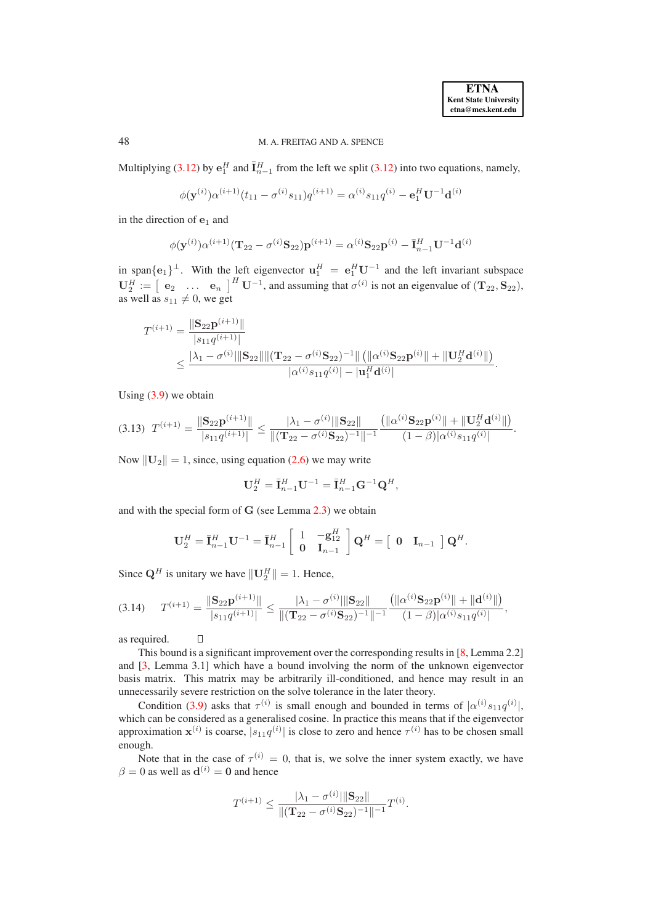# 48 M. A. FREITAG AND A. SPENCE

Multiplying [\(3.12\)](#page-7-2) by  $e_1^H$  and  $\bar{I}_{n-1}^H$  from the left we split (3.12) into two equations, namely,

$$
\phi(\mathbf{y}^{(i)})\alpha^{(i+1)}(t_{11}-\sigma^{(i)}s_{11})q^{(i+1)}=\alpha^{(i)}s_{11}q^{(i)}-\mathbf{e}_1^H\mathbf{U}^{-1}\mathbf{d}^{(i)}
$$

in the direction of  $e_1$  and

$$
\phi(\mathbf{y}^{(i)})\alpha^{(i+1)}(\mathbf{T}_{22} - \sigma^{(i)}\mathbf{S}_{22})\mathbf{p}^{(i+1)} = \alpha^{(i)}\mathbf{S}_{22}\mathbf{p}^{(i)} - \bar{\mathbf{I}}_{n-1}^H \mathbf{U}^{-1}\mathbf{d}^{(i)}
$$

in span $\{e_1\}^{\perp}$ . With the left eigenvector  $\mathbf{u}_1^H = e_1^H \mathbf{U}^{-1}$  and the left invariant subspace  $\mathbf{U}_2^H := \begin{bmatrix} \mathbf{e}_2 & \dots & \mathbf{e}_n \end{bmatrix}^H \mathbf{U}^{-1}$ , and assuming that  $\sigma^{(i)}$  is not an eigenvalue of  $(\mathbf{T}_{22}, \mathbf{S}_{22})$ , as well as  $s_{11} \neq 0$ , we get

$$
\label{eq:20} \begin{aligned} T^{(i+1)} &= \frac{\|\mathbf{S}_{22}\mathbf{p}^{(i+1)}\|}{|s_{11}q^{(i+1)}|} \\ & \leq \frac{|\lambda_1 - \sigma^{(i)}|\|\mathbf{S}_{22}\|\|(\mathbf{T}_{22} - \sigma^{(i)}\mathbf{S}_{22})^{-1}\|\left(\|\boldsymbol{\alpha}^{(i)}\mathbf{S}_{22}\mathbf{p}^{(i)}\| + \|\mathbf{U}_2^H\mathbf{d}^{(i)}\|\right)}{|\boldsymbol{\alpha}^{(i)}s_{11}q^{(i)}| - |\mathbf{u}_1^H\mathbf{d}^{(i)}|}. \end{aligned}
$$

Using  $(3.9)$  we obtain

<span id="page-8-0"></span>
$$
(3.13) \ T^{(i+1)} = \frac{\|\mathbf{S}_{22}\mathbf{p}^{(i+1)}\|}{|s_{11}q^{(i+1)}|} \leq \frac{|\lambda_1 - \sigma^{(i)}|\|\mathbf{S}_{22}\|}{\|(\mathbf{T}_{22} - \sigma^{(i)}\mathbf{S}_{22})^{-1}\|^{-1}} \frac{\left(\|\alpha^{(i)}\mathbf{S}_{22}\mathbf{p}^{(i)}\| + \|\mathbf{U}_{2}^H\mathbf{d}^{(i)}\|\right)}{(1-\beta)|\alpha^{(i)}s_{11}q^{(i)}}.
$$

Now  $\|\mathbf{U}_2\| = 1$ , since, using equation [\(2.6\)](#page-3-1) we may write

$$
\mathbf{U}_2^H=\bar{\mathbf{I}}_{n-1}^H\mathbf{U}^{-1}=\bar{\mathbf{I}}_{n-1}^H\mathbf{G}^{-1}\mathbf{Q}^H,
$$

and with the special form of G (see Lemma [2.3\)](#page-2-5) we obtain

$$
\mathbf{U}_2^H = \overline{\mathbf{I}}_{n-1}^H \mathbf{U}^{-1} = \overline{\mathbf{I}}_{n-1}^H \left[ \begin{array}{cc} 1 & -\mathbf{g}_{12}^H \\ \mathbf{0} & \mathbf{I}_{n-1} \end{array} \right] \mathbf{Q}^H = \left[ \begin{array}{cc} \mathbf{0} & \mathbf{I}_{n-1} \end{array} \right] \mathbf{Q}^H.
$$

Since  $\mathbf{Q}^H$  is unitary we have  $\|\mathbf{U}_2^H\|=1$ . Hence,

 $\Box$ 

<span id="page-8-1"></span>
$$
(3.14) \t T^{(i+1)} = \frac{\|\mathbf{S}_{22}\mathbf{p}^{(i+1)}\|}{|s_{11}q^{(i+1)}|} \le \frac{|\lambda_1 - \sigma^{(i)}|\|\mathbf{S}_{22}\|}{\|(\mathbf{T}_{22} - \sigma^{(i)}\mathbf{S}_{22})^{-1}\|^{-1}} \frac{\left(\|\alpha^{(i)}\mathbf{S}_{22}\mathbf{p}^{(i)}\| + \|\mathbf{d}^{(i)}\|\right)}{(1-\beta)|\alpha^{(i)}s_{11}q^{(i)}|},
$$

as required.

This bound is a significant improvement over the corresponding results in [\[8,](#page-23-2) Lemma 2.2] and [\[3,](#page-23-4) Lemma 3.1] which have a bound involving the norm of the unknown eigenvector basis matrix. This matrix may be arbitrarily ill-conditioned, and hence may result in an unnecessarily severe restriction on the solve tolerance in the later theory.

Condition [\(3.9\)](#page-7-3) asks that  $\tau^{(i)}$  is small enough and bounded in terms of  $|\alpha^{(i)}s_{11}q^{(i)}|$ , which can be considered as a generalised cosine. In practice this means that if the eigenvector approximation  $\mathbf{x}^{(i)}$  is coarse,  $|s_{11}q^{(i)}|$  is close to zero and hence  $\tau^{(i)}$  has to be chosen small enough.

Note that in the case of  $\tau^{(i)} = 0$ , that is, we solve the inner system exactly, we have  $\beta = 0$  as well as  $\mathbf{d}^{(i)} = \mathbf{0}$  and hence

$$
T^{(i+1)} \le \frac{|\lambda_1 - \sigma^{(i)}| \|\mathbf{S}_{22}\|}{\|(\mathbf{T}_{22} - \sigma^{(i)} \mathbf{S}_{22})^{-1}\|^{-1}} T^{(i)}.
$$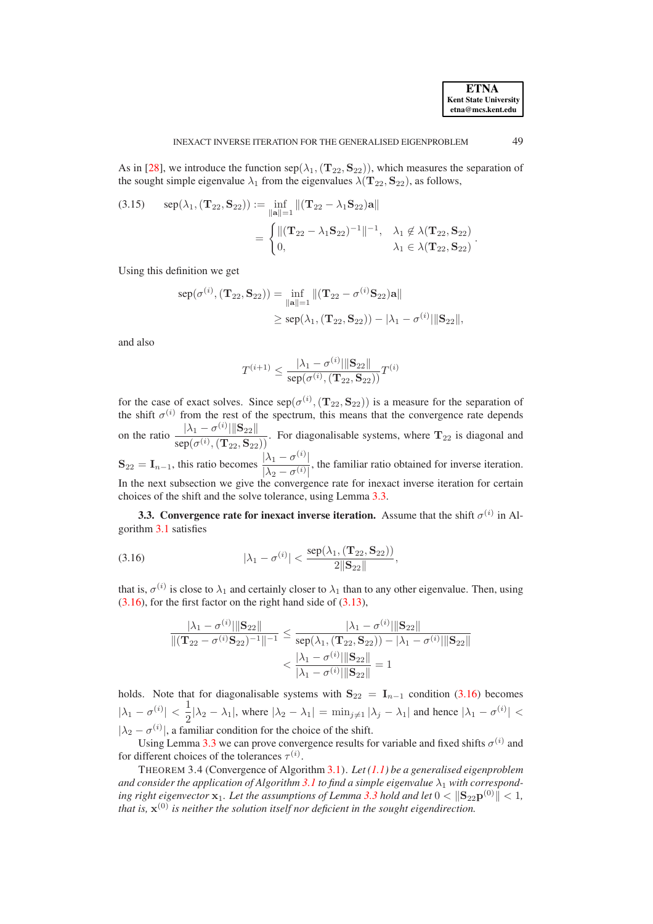As in [\[28\]](#page-24-12), we introduce the function  $\text{sep}(\lambda_1, (\mathbf{T}_{22}, \mathbf{S}_{22}))$ , which measures the separation of the sought simple eigenvalue  $\lambda_1$  from the eigenvalues  $\lambda(\mathbf{T}_{22}, \mathbf{S}_{22})$ , as follows,

<span id="page-9-3"></span>(3.15) 
$$
\text{sep}(\lambda_1, (\mathbf{T}_{22}, \mathbf{S}_{22})) := \inf_{\|\mathbf{a}\|=1} \|(\mathbf{T}_{22} - \lambda_1 \mathbf{S}_{22})\mathbf{a}\|
$$

$$
= \begin{cases} ||(\mathbf{T}_{22} - \lambda_1 \mathbf{S}_{22})^{-1}||^{-1}, & \lambda_1 \notin \lambda(\mathbf{T}_{22}, \mathbf{S}_{22}) \\ 0, & \lambda_1 \in \lambda(\mathbf{T}_{22}, \mathbf{S}_{22}) \end{cases}.
$$

Using this definition we get

$$
sep(\sigma^{(i)}, (\mathbf{T}_{22}, \mathbf{S}_{22})) = \inf_{\|\mathbf{a}\|=1} \|(\mathbf{T}_{22} - \sigma^{(i)}\mathbf{S}_{22})\mathbf{a}\|
$$
  
 
$$
\geq sep(\lambda_1, (\mathbf{T}_{22}, \mathbf{S}_{22})) - |\lambda_1 - \sigma^{(i)}|\|\mathbf{S}_{22}\|,
$$

and also

$$
T^{(i+1)} \le \frac{|\lambda_1 - \sigma^{(i)}||\mathbf{S}_{22}||}{\operatorname{sep}(\sigma^{(i)}, (\mathbf{T}_{22}, \mathbf{S}_{22}))} T^{(i)}
$$

for the case of exact solves. Since  $\text{sep}(\sigma^{(i)}, (\mathbf{T}_{22}, \mathbf{S}_{22}))$  is a measure for the separation of the shift  $\sigma^{(i)}$  from the rest of the spectrum, this means that the convergence rate depends on the ratio  $\frac{|\lambda_1 - \sigma^{(i)}| \|\mathbf{S}_{22} \|}{\sqrt{(\mathbf{S} - \mathbf{S})^2}}$  $\frac{\log(\sigma^{(i)}, (\mathbf{T}_{22}, \mathbf{S}_{22}))}{\text{sep}(\sigma^{(i)}, (\mathbf{T}_{22}, \mathbf{S}_{22}))}$ . For diagonalisable systems, where  $\mathbf{T}_{22}$  is diagonal and  $\mathbf{S}_{22} = \mathbf{I}_{n-1}$ , this ratio becomes  $\frac{|\lambda_1 - \sigma^{(i)}|}{|\lambda_1 - \sigma^{(i)}|}$  $|\lambda_2 - \sigma^{(i)}|$ , the familiar ratio obtained for inverse iteration. In the next subsection we give the convergence rate for inexact inverse iteration for certain choices of the shift and the solve tolerance, using Lemma [3.3.](#page-7-4)

<span id="page-9-0"></span>**3.3. Convergence rate for inexact inverse iteration.** Assume that the shift  $\sigma^{(i)}$  in Algorithm [3.1](#page-4-1) satisfies

<span id="page-9-1"></span>(3.16) 
$$
|\lambda_1 - \sigma^{(i)}| < \frac{\text{sep}(\lambda_1, (\mathbf{T}_{22}, \mathbf{S}_{22}))}{2||\mathbf{S}_{22}||},
$$

that is,  $\sigma^{(i)}$  is close to  $\lambda_1$  and certainly closer to  $\lambda_1$  than to any other eigenvalue. Then, using  $(3.16)$ , for the first factor on the right hand side of  $(3.13)$ ,

$$
\frac{|\lambda_1 - \sigma^{(i)}||\mathbf{S}_{22}||}{\|(\mathbf{T}_{22} - \sigma^{(i)}\mathbf{S}_{22})^{-1}\|^{-1}} \le \frac{|\lambda_1 - \sigma^{(i)}||\mathbf{S}_{22}||}{\operatorname{sep}(\lambda_1, (\mathbf{T}_{22}, \mathbf{S}_{22})) - |\lambda_1 - \sigma^{(i)}||\mathbf{S}_{22}||} < \frac{|\lambda_1 - \sigma^{(i)}||\mathbf{S}_{22}||}{|\lambda_1 - \sigma^{(i)}||\mathbf{S}_{22}||} = 1
$$

holds. Note that for diagonalisable systems with  $S_{22} = I_{n-1}$  condition [\(3.16\)](#page-9-1) becomes  $|\lambda_1 - \sigma^{(i)}| < \frac{1}{2}$  $\frac{1}{2}|\lambda_2 - \lambda_1|$ , where  $|\lambda_2 - \lambda_1| = \min_{j \neq 1} |\lambda_j - \lambda_1|$  and hence  $|\lambda_1 - \sigma^{(i)}|$  <  $|\lambda_2 - \sigma^{(i)}|$ , a familiar condition for the choice of the shift.

Using Lemma [3.3](#page-7-4) we can prove convergence results for variable and fixed shifts  $\sigma^{(i)}$  and for different choices of the tolerances  $\tau^{(i)}$ .

<span id="page-9-2"></span>THEOREM 3.4 (Convergence of Algorithm [3.1\)](#page-4-1). *Let [\(1.1\)](#page-0-0) be a generalised eigenproblem* and consider the application of Algorithm [3.1](#page-4-1) to find a simple eigenvalue  $\lambda_1$  with corresponding right eigenvector  $\mathbf{x}_1$ *. Let the assumptions of Lemma [3.3](#page-7-4) hold and let*  $0 < ||\mathbf{S}_{22} \mathbf{p}^{(0)}|| < 1$ *, that is,* x (0) *is neither the solution itself nor deficient in the sought eigendirection.*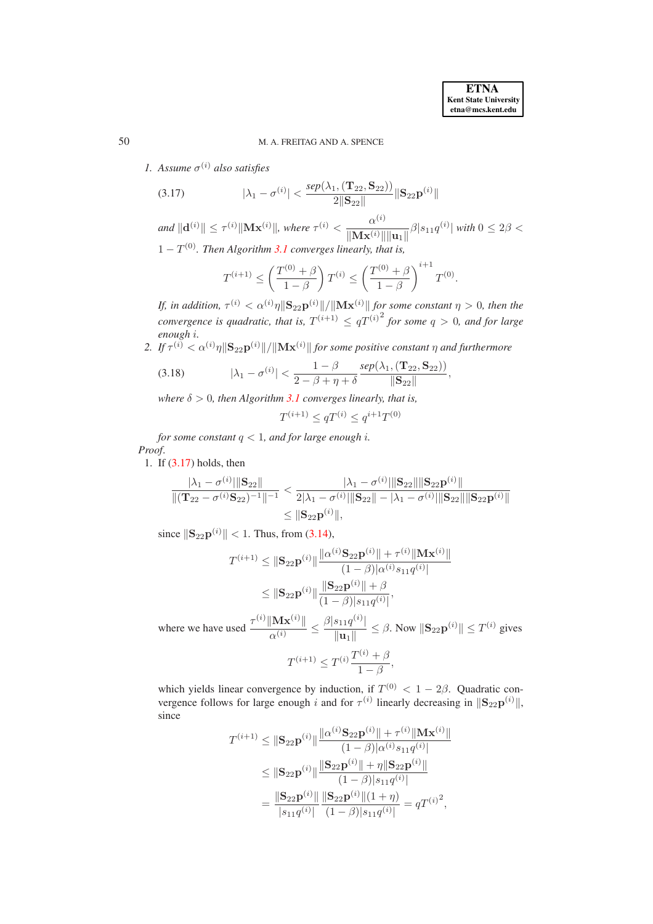*1.* Assume  $\sigma^{(i)}$  also satisfies

<span id="page-10-0"></span>(3.17) 
$$
|\lambda_1 - \sigma^{(i)}| < \frac{sep(\lambda_1, (\mathbf{T}_{22}, \mathbf{S}_{22}))}{2||\mathbf{S}_{22}||} ||\mathbf{S}_{22} \mathbf{p}^{(i)}||
$$

 $\| \mathbf{d}^{(i)} \| \leq \tau^{(i)} \| \mathbf{M} \mathbf{x}^{(i)} \|$ , where  $\tau^{(i)} < \frac{\alpha^{(i)}}{\| \mathbf{M} \mathbf{x}^{(i)} \|}$  $\frac{\alpha^{(1)}}{\|\mathbf{M} \mathbf{x}^{(i)}\| \|\mathbf{u}_1\|} \beta |s_{11}q^{(i)}|$  with  $0 \le 2\beta <$ 

 $1 - T^{(0)}$ . Then Algorithm [3.1](#page-4-1) converges linearly, that is,

$$
T^{(i+1)} \le \left(\frac{T^{(0)} + \beta}{1 - \beta}\right) T^{(i)} \le \left(\frac{T^{(0)} + \beta}{1 - \beta}\right)^{i+1} T^{(0)}.
$$

*If, in addition,*  $\tau^{(i)} < \alpha^{(i)} \eta \|\mathbf{S}_{22} \mathbf{p}^{(i)}\| / \|\mathbf{M} \mathbf{x}^{(i)}\|$  *for some constant*  $\eta > 0$ *, then the convergence is quadratic, that is,*  $T^{(i+1)} \leq qT^{(i)^2}$  for some  $q > 0$ , and for large *enough* i*.*

2. If  $\tau^{(i)} < \alpha^{(i)} \eta \|\mathbf{S}_{22} \mathbf{p}^{(i)}\| / \|\mathbf{M} \mathbf{x}^{(i)}\|$  for some positive constant  $\eta$  and furthermore

<span id="page-10-1"></span>(3.18) 
$$
|\lambda_1 - \sigma^{(i)}| < \frac{1 - \beta}{2 - \beta + \eta + \delta} \frac{sep(\lambda_1, (T_{22}, S_{22}))}{\|S_{22}\|},
$$

*where*  $\delta > 0$ *, then Algorithm [3.1](#page-4-1) converges linearly, that is,* 

$$
T^{(i+1)} \leq q T^{(i)} \leq q^{i+1} T^{(0)}
$$

*for some constant*  $q < 1$ *, and for large enough i. Proof*.

1. If [\(3.17\)](#page-10-0) holds, then

$$
\frac{|\lambda_1 - \sigma^{(i)}| \|\mathbf{S}_{22}\|}{\|(\mathbf{T}_{22} - \sigma^{(i)}\mathbf{S}_{22})^{-1}\|^{-1}} < \frac{|\lambda_1 - \sigma^{(i)}| \|\mathbf{S}_{22}\| \|\mathbf{S}_{22}\mathbf{p}^{(i)}\|}{2|\lambda_1 - \sigma^{(i)}|\|\mathbf{S}_{22}\| - |\lambda_1 - \sigma^{(i)}|\|\mathbf{S}_{22}\|\|\mathbf{S}_{22}\mathbf{p}^{(i)}\|} \leq \|\mathbf{S}_{22}\mathbf{p}^{(i)}\|,
$$

since  $||S_{22}p^{(i)}|| < 1$ . Thus, from [\(3.14\)](#page-8-1),

$$
T^{(i+1)} \leq ||\mathbf{S}_{22}\mathbf{p}^{(i)}|| \frac{||\alpha^{(i)}\mathbf{S}_{22}\mathbf{p}^{(i)}|| + \tau^{(i)} ||\mathbf{M}\mathbf{x}^{(i)}||}{(1-\beta)|\alpha^{(i)}s_{11}q^{(i)}|}
$$
  

$$
\leq ||\mathbf{S}_{22}\mathbf{p}^{(i)}|| \frac{||\mathbf{S}_{22}\mathbf{p}^{(i)}|| + \beta}{(1-\beta)|s_{11}q^{(i)}|},
$$

where we have used  $\frac{\tau^{(i)}\|\mathbf{M}\mathbf{x}^{(i)}\|}{\tau^{(i)}}$  $\frac{\Vert\mathbf{M}\mathbf{x}^{(i)}\Vert}{\alpha^{(i)}}\leq\frac{\beta\vert s_{11}q^{(i)}\vert}{\Vert\mathbf{u}_1\Vert}$  $\frac{\|S_1\|q^{(i)}}{\|u_1\|} \leq \beta$ . Now  $\|\mathbf{S}_{22}\mathbf{p}^{(i)}\| \leq T^{(i)}$  gives  $T^{(i+1)} \leq T^{(i)} \frac{T^{(i)} + \beta}{1 - \beta}$  $\frac{1-\beta}{1-\beta}$ ,

which yields linear convergence by induction, if  $T^{(0)} < 1 - 2\beta$ . Quadratic convergence follows for large enough i and for  $\tau^{(i)}$  linearly decreasing in  $\|\mathbf{S}_{22}\mathbf{p}^{(i)}\|$ , since

$$
T^{(i+1)} \leq ||\mathbf{S}_{22}\mathbf{p}^{(i)}|| \frac{||\alpha^{(i)}\mathbf{S}_{22}\mathbf{p}^{(i)}|| + \tau^{(i)}||\mathbf{M}\mathbf{x}^{(i)}||}{(1-\beta)|\alpha^{(i)}s_{11}q^{(i)}|}
$$
  
\n
$$
\leq ||\mathbf{S}_{22}\mathbf{p}^{(i)}|| \frac{||\mathbf{S}_{22}\mathbf{p}^{(i)}|| + \eta ||\mathbf{S}_{22}\mathbf{p}^{(i)}||}{(1-\beta)|s_{11}q^{(i)}|}
$$
  
\n
$$
= \frac{||\mathbf{S}_{22}\mathbf{p}^{(i)}||}{|s_{11}q^{(i)}|} \frac{||\mathbf{S}_{22}\mathbf{p}^{(i)}||(1+\eta)}{(1-\beta)|s_{11}q^{(i)}|} = qT^{(i)^2},
$$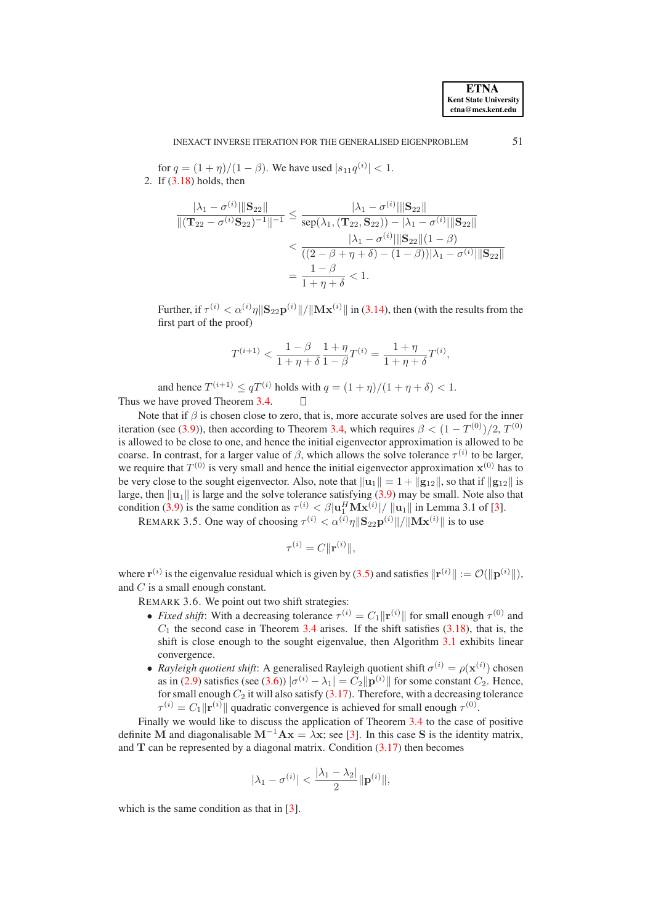for  $q = (1 + \eta)/(1 - \beta)$ . We have used  $|s_{11}q^{(i)}| < 1$ . 2. If [\(3.18\)](#page-10-1) holds, then

$$
\frac{|\lambda_1 - \sigma^{(i)}||\mathbf{S}_{22}||}{\|(\mathbf{T}_{22} - \sigma^{(i)}\mathbf{S}_{22})^{-1}\|^{-1}} \le \frac{|\lambda_1 - \sigma^{(i)}||\mathbf{S}_{22}||}{\operatorname{sep}(\lambda_1, (\mathbf{T}_{22}, \mathbf{S}_{22})) - |\lambda_1 - \sigma^{(i)}||\mathbf{S}_{22}||}
$$
  

$$
< \frac{|\lambda_1 - \sigma^{(i)}||\mathbf{S}_{22}||(1 - \beta)}{((2 - \beta + \eta + \delta) - (1 - \beta))|\lambda_1 - \sigma^{(i)}||\mathbf{S}_{22}||}
$$
  

$$
= \frac{1 - \beta}{1 + \eta + \delta} < 1.
$$

Further, if  $\tau^{(i)} < \alpha^{(i)} \eta \|\mathbf{S}_{22} \mathbf{p}^{(i)}\| / \|\mathbf{M} \mathbf{x}^{(i)}\|$  in [\(3.14\)](#page-8-1), then (with the results from the first part of the proof)

$$
T^{(i+1)} < \frac{1-\beta}{1+\eta+\delta} \frac{1+\eta}{1-\beta} T^{(i)} = \frac{1+\eta}{1+\eta+\delta} T^{(i)},
$$

and hence  $T^{(i+1)} \leq qT^{(i)}$  holds with  $q = (1 + \eta)/(1 + \eta + \delta) < 1$ . Thus we have proved Theorem [3.4.](#page-9-2)

Note that if  $\beta$  is chosen close to zero, that is, more accurate solves are used for the inner iteration (see [\(3.9\)](#page-7-3)), then according to Theorem [3.4,](#page-9-2) which requires  $\beta < (1 - T^{(0)})/2$ ,  $T^{(0)}$ is allowed to be close to one, and hence the initial eigenvector approximation is allowed to be coarse. In contrast, for a larger value of  $\beta$ , which allows the solve tolerance  $\tau^{(i)}$  to be larger, we require that  $T^{(0)}$  is very small and hence the initial eigenvector approximation  $x^{(0)}$  has to be very close to the sought eigenvector. Also, note that  $\|\mathbf{u}_1\| = 1 + \|\mathbf{g}_{12}\|$ , so that if  $\|\mathbf{g}_{12}\|$  is large, then  $\|u_1\|$  is large and the solve tolerance satisfying [\(3.9\)](#page-7-3) may be small. Note also that condition [\(3.9\)](#page-7-3) is the same condition as  $\tau^{(i)} < \beta |\mathbf{u}_{1}^{H} \mathbf{M} \mathbf{x}^{(i)}| / ||\mathbf{u}_{1}||$  in Lemma 3.1 of [\[3\]](#page-23-4).

<span id="page-11-0"></span>REMARK 3.5. One way of choosing  $\tau^{(i)} < \alpha^{(i)} \eta \|\mathbf{S}_{22} \mathbf{p}^{(i)}\| / \|\mathbf{M} \mathbf{x}^{(i)}\|$  is to use

$$
\tau^{(i)} = C \|\mathbf{r}^{(i)}\|,
$$

<span id="page-11-1"></span>where  $\mathbf{r}^{(i)}$  is the eigenvalue residual which is given by [\(3.5\)](#page-6-0) and satisfies  $\|\mathbf{r}^{(i)}\| := \mathcal{O}(\|\mathbf{p}^{(i)}\|),$ and  $\mathcal C$  is a small enough constant.

REMARK 3.6. We point out two shift strategies:

- *Fixed shift*: With a decreasing tolerance  $\tau^{(i)} = C_1 ||\mathbf{r}^{(i)}||$  for small enough  $\tau^{(0)}$  and  $C_1$  the second case in Theorem [3.4](#page-9-2) arises. If the shift satisfies  $(3.18)$ , that is, the shift is close enough to the sought eigenvalue, then Algorithm [3.1](#page-4-1) exhibits linear convergence.
- *Rayleigh quotient shift*: A generalised Rayleigh quotient shift  $\sigma^{(i)} = \rho(\mathbf{x}^{(i)})$  chosen as in [\(2.9\)](#page-3-5) satisfies (see [\(3.6\)](#page-6-3))  $|\sigma^{(i)} - \lambda_1| = C_2 ||\mathbf{p}^{(i)}||$  for some constant  $C_2$ . Hence, for small enough  $C_2$  it will also satisfy  $(3.17)$ . Therefore, with a decreasing tolerance  $\tau^{(i)} = C_1 ||\mathbf{r}^{(i)}||$  quadratic convergence is achieved for small enough  $\tau^{(0)}$ .

Finally we would like to discuss the application of Theorem [3.4](#page-9-2) to the case of positive definite M and diagonalisable  $M^{-1}Ax = \lambda x$ ; see [\[3\]](#page-23-4). In this case S is the identity matrix, and  $T$  can be represented by a diagonal matrix. Condition  $(3.17)$  then becomes

$$
|\lambda_1 - \sigma^{(i)}| < \frac{|\lambda_1 - \lambda_2|}{2} \|\mathbf{p}^{(i)}\|,
$$

which is the same condition as that in [\[3\]](#page-23-4).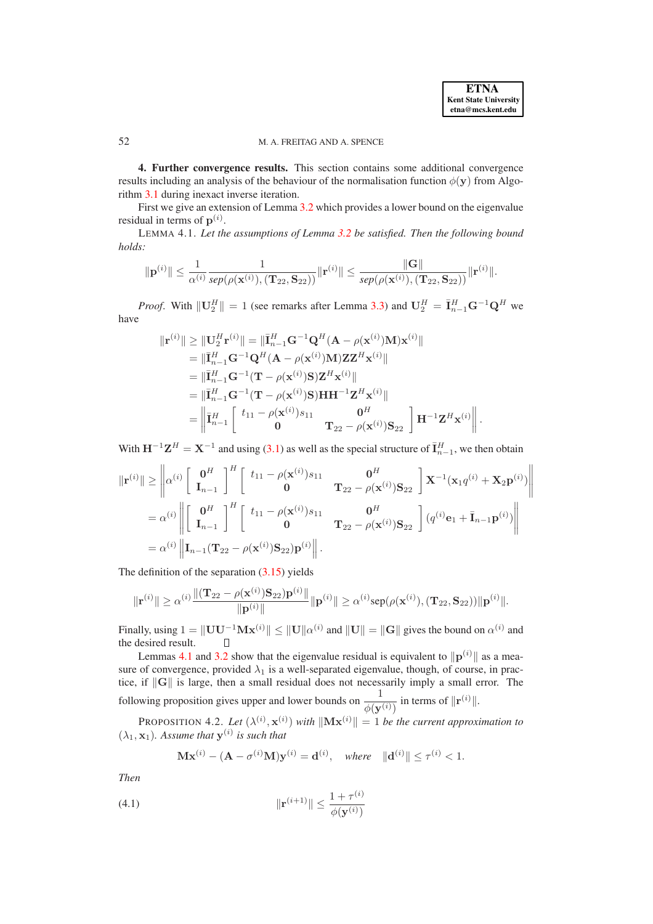.

# <span id="page-12-0"></span>52 M. A. FREITAG AND A. SPENCE

**4. Further convergence results.** This section contains some additional convergence results including an analysis of the behaviour of the normalisation function  $\phi(y)$  from Algorithm [3.1](#page-4-1) during inexact inverse iteration.

<span id="page-12-1"></span>First we give an extension of Lemma [3.2](#page-6-2) which provides a lower bound on the eigenvalue residual in terms of  $p^{(i)}$ .

LEMMA 4.1. *Let the assumptions of Lemma [3.2](#page-6-2) be satisfied. Then the following bound holds:*

$$
\|{\bf p}^{(i)}\|\leq \frac{1}{\alpha^{(i)}}\frac{1}{\text{sep}(\rho({\bf x}^{(i)}),({\bf T}_{22},{\bf S}_{22}))}\|{\bf r}^{(i)}\|\leq \frac{\|{\bf G}\|}{\text{sep}(\rho({\bf x}^{(i)}),({\bf T}_{22},{\bf S}_{22}))}\|{\bf r}^{(i)}\|.
$$

*Proof.* With  $\|\mathbf{U}_{2}^{H}\| = 1$  (see remarks after Lemma [3.3\)](#page-7-4) and  $\mathbf{U}_{2}^{H} = \overline{\mathbf{I}}_{n-1}^{H} \mathbf{G}^{-1} \mathbf{Q}^{H}$  we have

$$
\begin{aligned}\n\|\mathbf{r}^{(i)}\| &\geq \|\mathbf{U}_{2}^{H}\mathbf{r}^{(i)}\| = \|\bar{\mathbf{I}}_{n-1}^{H}\mathbf{G}^{-1}\mathbf{Q}^{H}(\mathbf{A} - \rho(\mathbf{x}^{(i)})\mathbf{M})\mathbf{x}^{(i)}\| \\
&= \|\bar{\mathbf{I}}_{n-1}^{H}\mathbf{G}^{-1}\mathbf{Q}^{H}(\mathbf{A} - \rho(\mathbf{x}^{(i)})\mathbf{M})\mathbf{Z}\mathbf{Z}^{H}\mathbf{x}^{(i)}\| \\
&= \|\bar{\mathbf{I}}_{n-1}^{H}\mathbf{G}^{-1}(\mathbf{T} - \rho(\mathbf{x}^{(i)})\mathbf{S})\mathbf{Z}^{H}\mathbf{x}^{(i)}\| \\
&= \|\bar{\mathbf{I}}_{n-1}^{H}\mathbf{G}^{-1}(\mathbf{T} - \rho(\mathbf{x}^{(i)})\mathbf{S})\mathbf{H}\mathbf{H}^{-1}\mathbf{Z}^{H}\mathbf{x}^{(i)}\| \\
&= \left\|\bar{\mathbf{I}}_{n-1}^{H}\begin{bmatrix} t_{11} - \rho(\mathbf{x}^{(i)})s_{11} & \mathbf{0}^{H} \\ \mathbf{0} & \mathbf{T}_{22} - \rho(\mathbf{x}^{(i)})s_{22} \end{bmatrix}\mathbf{H}^{-1}\mathbf{Z}^{H}\mathbf{x}^{(i)}\right\|\n\end{aligned}
$$

With  $H^{-1}Z^H = X^{-1}$  and using [\(3.1\)](#page-4-4) as well as the special structure of  $\bar{I}_{n-1}^H$ , we then obtain

$$
\|\mathbf{r}^{(i)}\| \geq \left\| \alpha^{(i)} \left[ \begin{array}{cc} \mathbf{0}^{H} \\ \mathbf{I}_{n-1} \end{array} \right]^{H} \left[ \begin{array}{cc} t_{11} - \rho(\mathbf{x}^{(i)})s_{11} & \mathbf{0}^{H} \\ \mathbf{0} & \mathbf{T}_{22} - \rho(\mathbf{x}^{(i)})\mathbf{S}_{22} \end{array} \right] \mathbf{X}^{-1}(\mathbf{x}_{1}q^{(i)} + \mathbf{X}_{2}\mathbf{p}^{(i)}) \right\|
$$
  
\n
$$
= \alpha^{(i)} \left\| \left[ \begin{array}{cc} \mathbf{0}^{H} \\ \mathbf{I}_{n-1} \end{array} \right]^{H} \left[ \begin{array}{cc} t_{11} - \rho(\mathbf{x}^{(i)})s_{11} & \mathbf{0}^{H} \\ \mathbf{0} & \mathbf{T}_{22} - \rho(\mathbf{x}^{(i)})\mathbf{S}_{22} \end{array} \right] (q^{(i)}\mathbf{e}_{1} + \bar{\mathbf{I}}_{n-1}\mathbf{p}^{(i)}) \right\|
$$
  
\n
$$
= \alpha^{(i)} \left\| \mathbf{I}_{n-1}(\mathbf{T}_{22} - \rho(\mathbf{x}^{(i)})\mathbf{S}_{22})\mathbf{p}^{(i)} \right\|.
$$

The definition of the separation [\(3.15\)](#page-9-3) yields

$$
\|\mathbf{r}^{(i)}\| \geq \alpha^{(i)} \frac{\|(\mathbf{T}_{22} - \rho(\mathbf{x}^{(i)})\mathbf{S}_{22})\mathbf{p}^{(i)}\|}{\|\mathbf{p}^{(i)}\|} \|\mathbf{p}^{(i)}\| \geq \alpha^{(i)} \text{sep}(\rho(\mathbf{x}^{(i)}), (\mathbf{T}_{22}, \mathbf{S}_{22})) \|\mathbf{p}^{(i)}\|.
$$

Finally, using  $1 = ||UU^{-1}Mx^{(i)}|| \le ||U||\alpha^{(i)}$  and  $||U|| = ||G||$  gives the bound on  $\alpha^{(i)}$  and the desired result.

Lemmas [4.1](#page-12-1) and [3.2](#page-6-2) show that the eigenvalue residual is equivalent to  $\|\mathbf{p}^{(i)}\|$  as a measure of convergence, provided  $\lambda_1$  is a well-separated eigenvalue, though, of course, in practice, if  $\|G\|$  is large, then a small residual does not necessarily imply a small error. The following proposition gives upper and lower bounds on  $\frac{1}{\phi(\mathbf{y}^{(i)})}$  in terms of  $\|\mathbf{r}^{(i)}\|$ .

<span id="page-12-3"></span>**PROPOSITION** 4.2. Let  $(\lambda^{(i)}, \mathbf{x}^{(i)})$  with  $\|\mathbf{M}\mathbf{x}^{(i)}\| = 1$  be the current approximation to  $(\lambda_1, \mathbf{x}_1)$ . Assume that  $\mathbf{y}^{(i)}$  is such that

<span id="page-12-2"></span>
$$
\mathbf{Mx}^{(i)} - (\mathbf{A} - \sigma^{(i)}\mathbf{M})\mathbf{y}^{(i)} = \mathbf{d}^{(i)}, \quad \text{where} \quad \|\mathbf{d}^{(i)}\| \le \tau^{(i)} < 1.
$$

*Then*

(4.1) 
$$
\|\mathbf{r}^{(i+1)}\| \le \frac{1 + \tau^{(i)}}{\phi(\mathbf{y}^{(i)})}
$$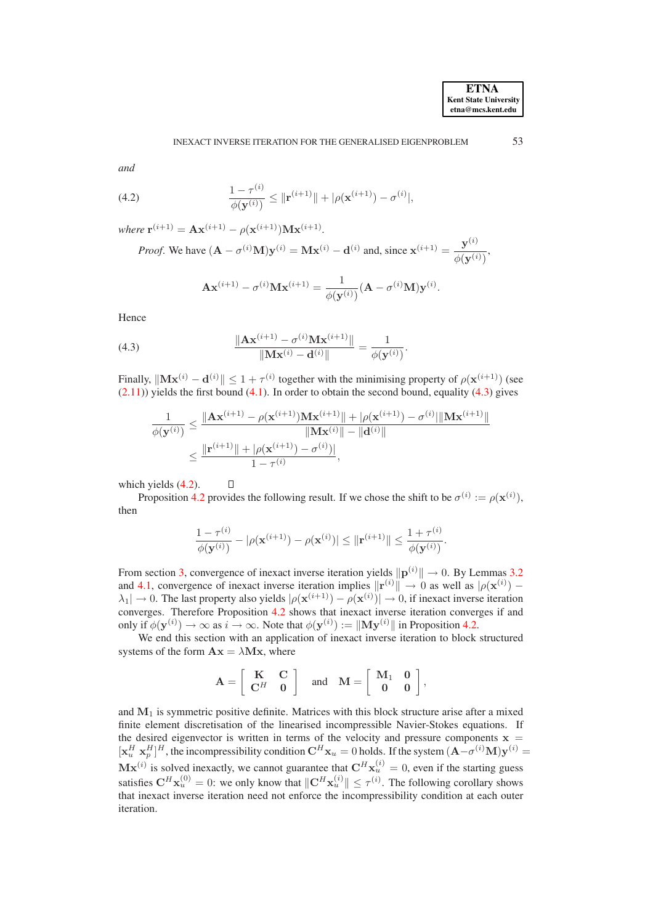$\langle i \rangle$ 

*and*

<span id="page-13-1"></span>(4.2) 
$$
\frac{1-\tau^{(i)}}{\phi(\mathbf{y}^{(i)})} \leq \|\mathbf{r}^{(i+1)}\| + |\rho(\mathbf{x}^{(i+1)}) - \sigma^{(i)}|,
$$

 $where \mathbf{r}^{(i+1)} = \mathbf{A}\mathbf{x}^{(i+1)} - \rho(\mathbf{x}^{(i+1)})\mathbf{M}\mathbf{x}^{(i+1)}.$ 

*Proof.* We have 
$$
(\mathbf{A} - \sigma^{(i)} \mathbf{M}) \mathbf{y}^{(i)} = \mathbf{M} \mathbf{x}^{(i)} - \mathbf{d}^{(i)}
$$
 and, since  $\mathbf{x}^{(i+1)} = \frac{\mathbf{y}^{(i)}}{\phi(\mathbf{y}^{(i)})}$ ,

$$
\mathbf{A}\mathbf{x}^{(i+1)} - \sigma^{(i)}\mathbf{M}\mathbf{x}^{(i+1)} = \frac{1}{\phi(\mathbf{y}^{(i)})}(\mathbf{A} - \sigma^{(i)}\mathbf{M})\mathbf{y}^{(i)}.
$$

Hence

<span id="page-13-0"></span>(4.3) 
$$
\frac{\|\mathbf{A}\mathbf{x}^{(i+1)} - \sigma^{(i)}\mathbf{M}\mathbf{x}^{(i+1)}\|}{\|\mathbf{M}\mathbf{x}^{(i)} - \mathbf{d}^{(i)}\|} = \frac{1}{\phi(\mathbf{y}^{(i)})}.
$$

Finally,  $\|\mathbf{M} \mathbf{x}^{(i)} - \mathbf{d}^{(i)} \| \leq 1 + \tau^{(i)}$  together with the minimising property of  $\rho(\mathbf{x}^{(i+1)})$  (see  $(2.11)$ ) yields the first bound  $(4.1)$ . In order to obtain the second bound, equality  $(4.3)$  gives

$$
\frac{1}{\phi(\mathbf{y}^{(i)})} \leq \frac{\|\mathbf{A}\mathbf{x}^{(i+1)} - \rho(\mathbf{x}^{(i+1)})\mathbf{M}\mathbf{x}^{(i+1)}\| + |\rho(\mathbf{x}^{(i+1)}) - \sigma^{(i)}|\|\mathbf{M}\mathbf{x}^{(i+1)}\|}{\|\mathbf{M}\mathbf{x}^{(i)}\| - \|\mathbf{d}^{(i)}\|} \leq \frac{\|\mathbf{r}^{(i+1)}\| + |\rho(\mathbf{x}^{(i+1)}) - \sigma^{(i)})|}{1 - \tau^{(i)}},
$$

which yields  $(4.2)$ .  $\Box$ 

Proposition [4.2](#page-12-3) provides the following result. If we chose the shift to be  $\sigma^{(i)} := \rho(\mathbf{x}^{(i)}),$ then

$$
\frac{1-\tau^{(i)}}{\phi(\mathbf{y}^{(i)})}-|\rho(\mathbf{x}^{(i+1)})-\rho(\mathbf{x}^{(i)})| \leq \|\mathbf{r}^{(i+1)}\| \leq \frac{1+\tau^{(i)}}{\phi(\mathbf{y}^{(i)})}.
$$

From section [3,](#page-4-0) convergence of inexact inverse iteration yields  $\|\mathbf{p}^{(i)}\| \to 0$ . By Lemmas [3.2](#page-6-2) and [4.1,](#page-12-1) convergence of inexact inverse iteration implies  $\|\mathbf{r}^{(i)}\| \to 0$  as well as  $|\rho(\mathbf{x}^{(i)}) |\lambda_1| \to 0$ . The last property also yields  $|\rho(\mathbf{x}^{(i+1)}) - \rho(\mathbf{x}^{(i)})| \to 0$ , if inexact inverse iteration converges. Therefore Proposition [4.2](#page-12-3) shows that inexact inverse iteration converges if and only if  $\phi(\mathbf{y}^{(i)}) \to \infty$  as  $i \to \infty$ . Note that  $\phi(\mathbf{y}^{(i)}) := \|\mathbf{My}^{(i)}\|$  in Proposition [4.2.](#page-12-3)

We end this section with an application of inexact inverse iteration to block structured systems of the form  $\mathbf{A}\mathbf{x} = \lambda \mathbf{M}\mathbf{x}$ , where

$$
\mathbf{A} = \left[ \begin{array}{cc} \mathbf{K} & \mathbf{C} \\ \mathbf{C}^H & \mathbf{0} \end{array} \right] \quad \text{and} \quad \mathbf{M} = \left[ \begin{array}{cc} \mathbf{M}_1 & \mathbf{0} \\ \mathbf{0} & \mathbf{0} \end{array} \right],
$$

<span id="page-13-2"></span>and  $M_1$  is symmetric positive definite. Matrices with this block structure arise after a mixed finite element discretisation of the linearised incompressible Navier-Stokes equations. If the desired eigenvector is written in terms of the velocity and pressure components  $x =$  $[\mathbf{x}_u^H \ \mathbf{x}_p^H]^H$ , the incompressibility condition  $\mathbf{C}^H \mathbf{x}_u = 0$  holds. If the system  $(\mathbf{A} - \sigma^{(i)} \mathbf{M}) \mathbf{y}^{(i)} =$  $Mx^{(i)}$  is solved inexactly, we cannot guarantee that  $C^Hx^{(i)}_u = 0$ , even if the starting guess satisfies  $\mathbf{C}^H \mathbf{x}_u^{(0)} = 0$ : we only know that  $\|\mathbf{C}^H \mathbf{x}_u^{(i)}\| \le \tau^{(i)}$ . The following corollary shows that inexact inverse iteration need not enforce the incompressibility condition at each outer iteration.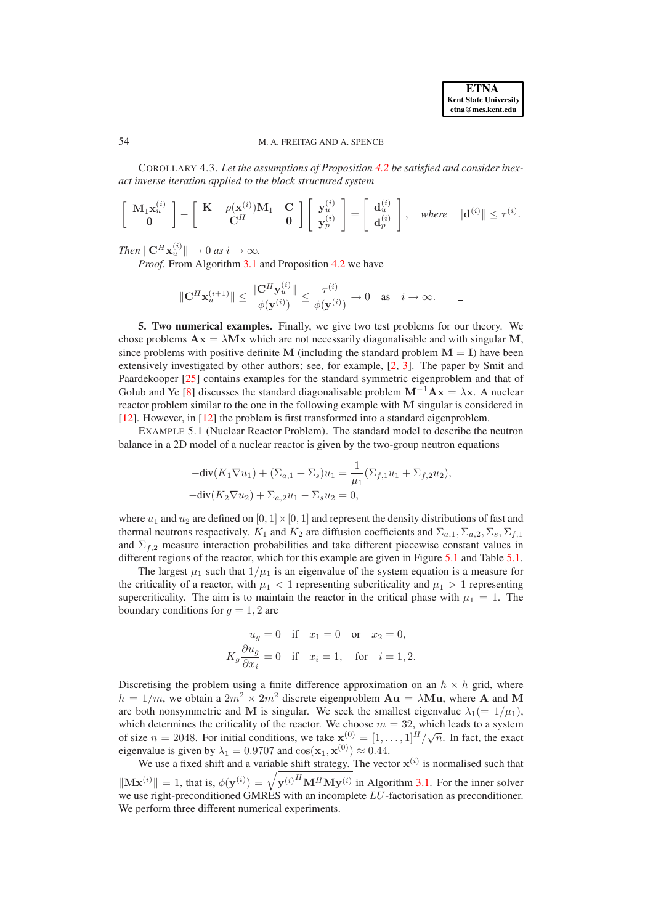COROLLARY 4.3. *Let the assumptions of Proposition [4.2](#page-12-3) be satisfied and consider inexact inverse iteration applied to the block structured system*

$$
\left[\begin{array}{c} \mathbf{M}_1 \mathbf{x}_u^{(i)} \\ \mathbf{0} \end{array}\right] - \left[\begin{array}{cc} \mathbf{K} - \rho(\mathbf{x}^{(i)}) \mathbf{M}_1 & \mathbf{C} \\ \mathbf{C}^H & \mathbf{0} \end{array}\right] \left[\begin{array}{c} \mathbf{y}_u^{(i)} \\ \mathbf{y}_p^{(i)} \end{array}\right] = \left[\begin{array}{c} \mathbf{d}_u^{(i)} \\ \mathbf{d}_p^{(i)} \end{array}\right], \quad \text{where} \quad \|\mathbf{d}^{(i)}\| \leq \tau^{(i)}.
$$

*Then*  $\|\mathbf{C}^H \mathbf{x}_u^{(i)} \| \to 0$  *as*  $i \to \infty$ *.* 

*Proof.* From Algorithm [3.1](#page-4-1) and Proposition [4.2](#page-12-3) we have

$$
\|\mathbf{C}^H\mathbf{x}_u^{(i+1)}\| \le \frac{\|\mathbf{C}^H\mathbf{y}_u^{(i)}\|}{\phi(\mathbf{y}^{(i)})} \le \frac{\tau^{(i)}}{\phi(\mathbf{y}^{(i)})} \to 0 \quad \text{as} \quad i \to \infty. \qquad \Box
$$

<span id="page-14-0"></span>**5. Two numerical examples.** Finally, we give two test problems for our theory. We chose problems  $\mathbf{A}\mathbf{x} = \lambda \mathbf{M}\mathbf{x}$  which are not necessarily diagonalisable and with singular M, since problems with positive definite M (including the standard problem  $M = I$ ) have been extensively investigated by other authors; see, for example, [\[2,](#page-23-6) [3\]](#page-23-4). The paper by Smit and Paardekooper [\[25\]](#page-24-4) contains examples for the standard symmetric eigenproblem and that of Golub and Ye [\[8\]](#page-23-2) discusses the standard diagonalisable problem  $M^{-1}Ax = \lambda x$ . A nuclear reactor problem similar to the one in the following example with M singular is considered in [\[12\]](#page-23-3). However, in [\[12\]](#page-23-3) the problem is first transformed into a standard eigenproblem.

<span id="page-14-1"></span>EXAMPLE 5.1 (Nuclear Reactor Problem). The standard model to describe the neutron balance in a 2D model of a nuclear reactor is given by the two-group neutron equations

$$
-div(K_1 \nabla u_1) + (\Sigma_{a,1} + \Sigma_s)u_1 = \frac{1}{\mu_1} (\Sigma_{f,1} u_1 + \Sigma_{f,2} u_2),
$$
  

$$
-div(K_2 \nabla u_2) + \Sigma_{a,2} u_1 - \Sigma_s u_2 = 0,
$$

where  $u_1$  and  $u_2$  are defined on  $[0, 1] \times [0, 1]$  and represent the density distributions of fast and thermal neutrons respectively.  $K_1$  and  $K_2$  are diffusion coefficients and  $\Sigma_{a,1}, \Sigma_{a,2}, \Sigma_s, \Sigma_{f,1}$ and  $\Sigma_{f,2}$  measure interaction probabilities and take different piecewise constant values in different regions of the reactor, which for this example are given in Figure [5.1](#page-21-0) and Table [5.1.](#page-23-9)

The largest  $\mu_1$  such that  $1/\mu_1$  is an eigenvalue of the system equation is a measure for the criticality of a reactor, with  $\mu_1 < 1$  representing subcriticality and  $\mu_1 > 1$  representing supercriticality. The aim is to maintain the reactor in the critical phase with  $\mu_1 = 1$ . The boundary conditions for  $q = 1, 2$  are

$$
u_g = 0 \quad \text{if} \quad x_1 = 0 \quad \text{or} \quad x_2 = 0,
$$
  

$$
K_g \frac{\partial u_g}{\partial x_i} = 0 \quad \text{if} \quad x_i = 1, \quad \text{for} \quad i = 1, 2.
$$

Discretising the problem using a finite difference approximation on an  $h \times h$  grid, where  $h = 1/m$ , we obtain a  $2m^2 \times 2m^2$  discrete eigenproblem  $Au = \lambda Mu$ , where A and M are both nonsymmetric and M is singular. We seek the smallest eigenvalue  $\lambda_1(= 1/\mu_1)$ , which determines the criticality of the reactor. We choose  $m = 32$ , which leads to a system of size  $n = 2048$ . For initial conditions, we take  $\mathbf{x}^{(0)} = [1, \dots, 1]^H / \sqrt{n}$ . In fact, the exact eigenvalue is given by  $\lambda_1 = 0.9707$  and  $\cos(\mathbf{x}_1, \mathbf{x}^{(0)}) \approx 0.44$ .

We use a fixed shift and a variable shift strategy. The vector  $x^{(i)}$  is normalised such that  $\|\mathbf{M} \mathbf{x}^{(i)}\| = 1$ , that is,  $\phi(\mathbf{y}^{(i)}) = \sqrt{\mathbf{y}^{(i)H} \mathbf{M}^H \mathbf{M} \mathbf{y}^{(i)}}$  in Algorithm [3.1.](#page-4-1) For the inner solver we use right-preconditioned GMRES with an incomplete LU-factorisation as preconditioner. We perform three different numerical experiments.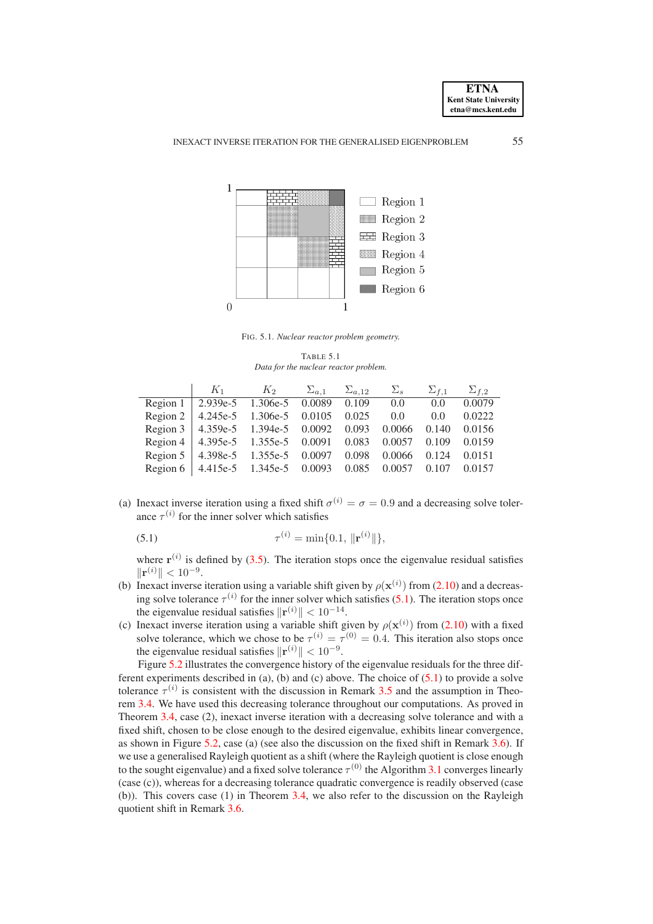



FIG. 5.1. *Nuclear reactor problem geometry.*

TABLE 5.1 *Data for the nuclear reactor problem.*

|                                                               | $K_1$ $K_2$ $\Sigma_{a,1}$ $\Sigma_{a,12}$ $\Sigma_s$ $\Sigma_{f,1}$ $\Sigma_{f,2}$ |  |  |        |
|---------------------------------------------------------------|-------------------------------------------------------------------------------------|--|--|--------|
| Region 1 2.939e-5 1.306e-5 0.0089 0.109 0.0 0.0               |                                                                                     |  |  | 0.0079 |
| Region 2   4.245e-5 1.306e-5 0.0105 0.025 0.0 0.0 0.0222      |                                                                                     |  |  |        |
| Region 3 4.359e-5 1.394e-5 0.0092 0.093 0.0066 0.140 0.0156   |                                                                                     |  |  |        |
| Region 4   4.395e-5 1.355e-5 0.0091 0.083 0.0057 0.109 0.0159 |                                                                                     |  |  |        |
| Region 5   4.398e-5 1.355e-5 0.0097 0.098 0.0066 0.124 0.0151 |                                                                                     |  |  |        |
| Region 6   4.415e-5 1.345e-5 0.0093 0.085 0.0057 0.107 0.0157 |                                                                                     |  |  |        |

(a) Inexact inverse iteration using a fixed shift  $\sigma^{(i)} = \sigma = 0.9$  and a decreasing solve tolerance  $\tau^{(i)}$  for the inner solver which satisfies

<span id="page-15-0"></span>(5.1) 
$$
\tau^{(i)} = \min\{0.1, \|\mathbf{r}^{(i)}\|\},
$$

where  $\mathbf{r}^{(i)}$  is defined by [\(3.5\)](#page-6-0). The iteration stops once the eigenvalue residual satisfies  $\|\mathbf{r}^{(i)}\| < 10^{-9}.$ 

- (b) Inexact inverse iteration using a variable shift given by  $\rho(\mathbf{x}^{(i)})$  from [\(2.10\)](#page-4-5) and a decreasing solve tolerance  $\tau^{(i)}$  for the inner solver which satisfies [\(5.1\)](#page-15-0). The iteration stops once the eigenvalue residual satisfies  $\|\mathbf{r}^{(i)}\| < 10^{-14}$ .
- (c) Inexact inverse iteration using a variable shift given by  $\rho(\mathbf{x}^{(i)})$  from [\(2.10\)](#page-4-5) with a fixed solve tolerance, which we chose to be  $\tau^{(i)} = \tau^{(0)} = 0.4$ . This iteration also stops once the eigenvalue residual satisfies  $\|\mathbf{r}^{(i)}\| < 10^{-9}$ .

Figure [5.2](#page-21-1) illustrates the convergence history of the eigenvalue residuals for the three different experiments described in (a), (b) and (c) above. The choice of  $(5.1)$  to provide a solve tolerance  $\tau^{(i)}$  is consistent with the discussion in Remark [3.5](#page-11-0) and the assumption in Theorem [3.4.](#page-9-2) We have used this decreasing tolerance throughout our computations. As proved in Theorem [3.4,](#page-9-2) case (2), inexact inverse iteration with a decreasing solve tolerance and with a fixed shift, chosen to be close enough to the desired eigenvalue, exhibits linear convergence, as shown in Figure [5.2,](#page-21-1) case (a) (see also the discussion on the fixed shift in Remark [3.6\)](#page-11-1). If we use a generalised Rayleigh quotient as a shift (where the Rayleigh quotient is close enough to the sought eigenvalue) and a fixed solve tolerance  $\tau^{(0)}$  the Algorithm [3.1](#page-4-1) converges linearly (case (c)), whereas for a decreasing tolerance quadratic convergence is readily observed (case (b)). This covers case (1) in Theorem [3.4,](#page-9-2) we also refer to the discussion on the Rayleigh quotient shift in Remark [3.6.](#page-11-1)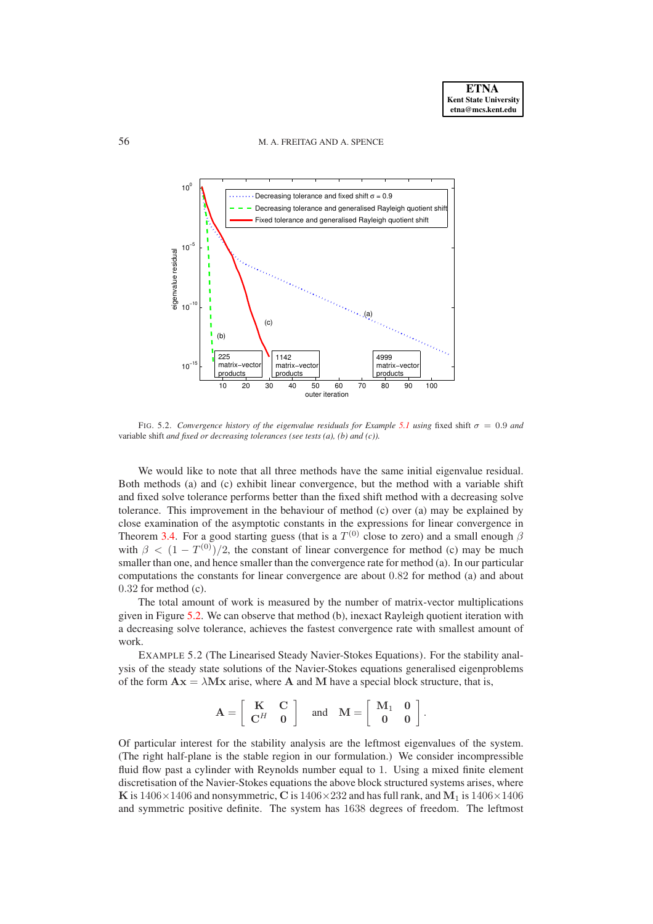### 56 M. A. FREITAG AND A. SPENCE



FIG. 5.2. *Convergence history of the eigenvalue residuals for Example* [5.1](#page-14-1) *using* fixed shift  $\sigma = 0.9$  *and* variable shift *and fixed or decreasing tolerances (see tests (a), (b) and (c)).*

We would like to note that all three methods have the same initial eigenvalue residual. Both methods (a) and (c) exhibit linear convergence, but the method with a variable shift and fixed solve tolerance performs better than the fixed shift method with a decreasing solve tolerance. This improvement in the behaviour of method (c) over (a) may be explained by close examination of the asymptotic constants in the expressions for linear convergence in Theorem [3.4.](#page-9-2) For a good starting guess (that is a  $T^{(0)}$  close to zero) and a small enough  $\beta$ with  $\beta < (1 - T^{(0)})/2$ , the constant of linear convergence for method (c) may be much smaller than one, and hence smaller than the convergence rate for method (a). In our particular computations the constants for linear convergence are about 0.82 for method (a) and about 0.32 for method (c).

The total amount of work is measured by the number of matrix-vector multiplications given in Figure [5.2.](#page-21-1) We can observe that method (b), inexact Rayleigh quotient iteration with a decreasing solve tolerance, achieves the fastest convergence rate with smallest amount of work.

EXAMPLE 5.2 (The Linearised Steady Navier-Stokes Equations). For the stability analysis of the steady state solutions of the Navier-Stokes equations generalised eigenproblems of the form  $\mathbf{A}\mathbf{x} = \lambda \mathbf{M}\mathbf{x}$  arise, where **A** and **M** have a special block structure, that is,

$$
\mathbf{A} = \left[ \begin{array}{cc} \mathbf{K} & \mathbf{C} \\ \mathbf{C}^H & \mathbf{0} \end{array} \right] \quad \text{and} \quad \mathbf{M} = \left[ \begin{array}{cc} \mathbf{M}_1 & \mathbf{0} \\ \mathbf{0} & \mathbf{0} \end{array} \right].
$$

Of particular interest for the stability analysis are the leftmost eigenvalues of the system. (The right half-plane is the stable region in our formulation.) We consider incompressible fluid flow past a cylinder with Reynolds number equal to 1. Using a mixed finite element discretisation of the Navier-Stokes equations the above block structured systems arises, where K is  $1406\times1406$  and nonsymmetric, C is  $1406\times232$  and has full rank, and M<sub>1</sub> is  $1406\times1406$ and symmetric positive definite. The system has 1638 degrees of freedom. The leftmost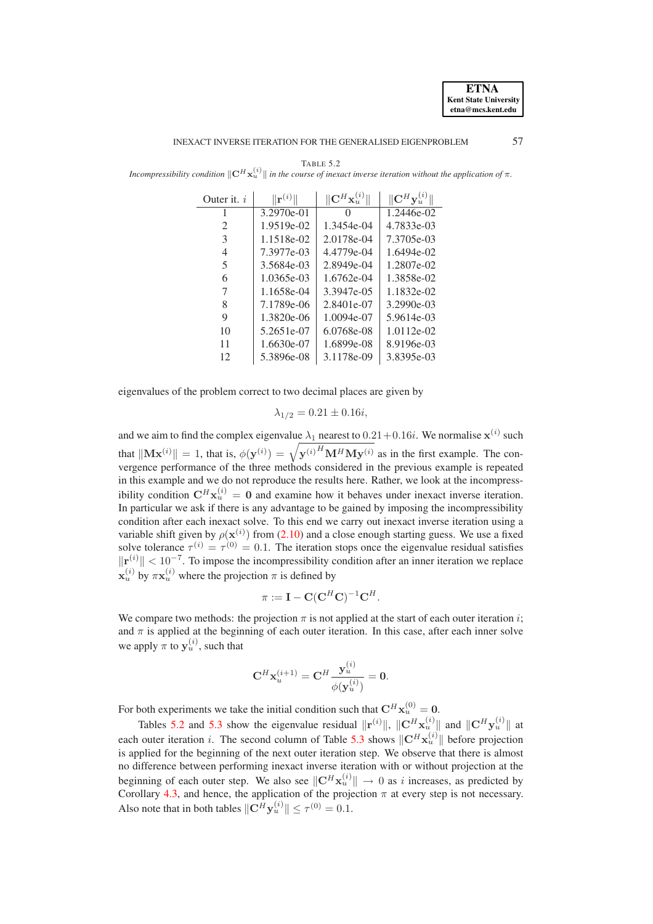<span id="page-17-0"></span>

|                                                                                                                                                | <b>TABLE 5.2</b> |  |  |
|------------------------------------------------------------------------------------------------------------------------------------------------|------------------|--|--|
| Incompressibility condition $\ \mathbf{C}^H\mathbf{x}_u^{(i)}\ $ in the course of inexact inverse iteration without the application of $\pi$ . |                  |  |  |

Outer it. *i*  $\|\mathbf{r}^{(i)}\|$ <br>1 3.2970e-01  $\|\hspace{-.06cm}u^{(i)}\|$   $\|\hspace{-.06cm}C^H\mathbf{x}^{(i)}_u\|$  $\| \mathbf{C}^H \mathbf{y}_{u}^{(i)} \|$  $\overline{0}$  1.2446e-02 2 1.9519e-02 1.3454e-04 4.7833e-03<br>1.1518e-02 2.0178e-04 7.3705e-03 3 1.1518e-02 2.0178e-04 7.3705e-03 4 7.3977e-03 4.4779e-04 1.6494e-02 5 3.5684e-03 2.8949e-04 1.2807e-02 6 1.0365e-03 1.6762e-04 1.3858e-02 7 1.1658e-04 3.3947e-05 1.1832e-02 8 7.1789e-06 2.8401e-07 3.2990e-03 9 | 1.3820e-06 | 1.0094e-07 | 5.9614e-03 10 | 5.2651e-07 | 6.0768e-08 | 1.0112e-02 11 1.6630e-07 | 1.6899e-08 | 8.9196e-03 12 | 5.3896e-08 | 3.1178e-09 | 3.8395e-03

eigenvalues of the problem correct to two decimal places are given by

$$
\lambda_{1/2} = 0.21 \pm 0.16i,
$$

and we aim to find the complex eigenvalue  $\lambda_1$  nearest to  $0.21+0.16i$ . We normalise  $\mathbf{x}^{(i)}$  such that  $\|\mathbf{M} \mathbf{x}^{(i)}\| = 1$ , that is,  $\phi(\mathbf{y}^{(i)}) = \sqrt{\mathbf{y}^{(i)}}^H \mathbf{M}^H \mathbf{M} \mathbf{y}^{(i)}$  as in the first example. The convergence performance of the three methods considered in the previous example is repeated in this example and we do not reproduce the results here. Rather, we look at the incompressibility condition  $\mathbf{C}^H \mathbf{x}_u^{(i)} = \mathbf{0}$  and examine how it behaves under inexact inverse iteration. In particular we ask if there is any advantage to be gained by imposing the incompressibility condition after each inexact solve. To this end we carry out inexact inverse iteration using a variable shift given by  $\rho(\mathbf{x}^{(i)})$  from [\(2.10\)](#page-4-5) and a close enough starting guess. We use a fixed solve tolerance  $\tau^{(i)} = \tau^{(0)} = 0.1$ . The iteration stops once the eigenvalue residual satisfies  $\|\mathbf{r}^{(i)}\| < 10^{-7}$ . To impose the incompressibility condition after an inner iteration we replace  $\mathbf{x}_u^{(i)}$  by  $\pi \mathbf{x}_u^{(i)}$  where the projection  $\pi$  is defined by

$$
\pi := \mathbf{I} - \mathbf{C} (\mathbf{C}^H \mathbf{C})^{-1} \mathbf{C}^H.
$$

We compare two methods: the projection  $\pi$  is not applied at the start of each outer iteration *i*; and  $\pi$  is applied at the beginning of each outer iteration. In this case, after each inner solve we apply  $\pi$  to  $y_u^{(i)}$ , such that

$$
\mathbf{C}^H\mathbf{x}_u^{(i+1)}=\mathbf{C}^H\frac{\mathbf{y}_u^{(i)}}{\phi(\mathbf{y}_u^{(i)})}=0.
$$

For both experiments we take the initial condition such that  $\mathbf{C}^H \mathbf{x}_u^{(0)} = \mathbf{0}$ .

Tables [5.2](#page-17-0) and [5.3](#page-18-1) show the eigenvalue residual  $\|\mathbf{r}^{(i)}\|$ ,  $\|\mathbf{C}^H\mathbf{x}_{u}^{(i)}\|$  and  $\|\mathbf{C}^H\mathbf{y}^{(i)}\|$  at each outer iteration *i*. The second column of Table [5.3](#page-18-1) shows  $\|\mathbf{C}^H\mathbf{x}_u^{(i)}\|$  before projection is applied for the beginning of the next outer iteration step. We observe that there is almost no difference between performing inexact inverse iteration with or without projection at the beginning of each outer step. We also see  $||\mathbf{C}^H \mathbf{x}_u^{(i)}|| \to 0$  as i increases, as predicted by Corollary [4.3,](#page-13-2) and hence, the application of the projection  $\pi$  at every step is not necessary. Also note that in both tables  $\|\mathbf{C}^H \mathbf{y}_{u}^{(i)}\| \leq \tau^{(0)} = 0.1$ .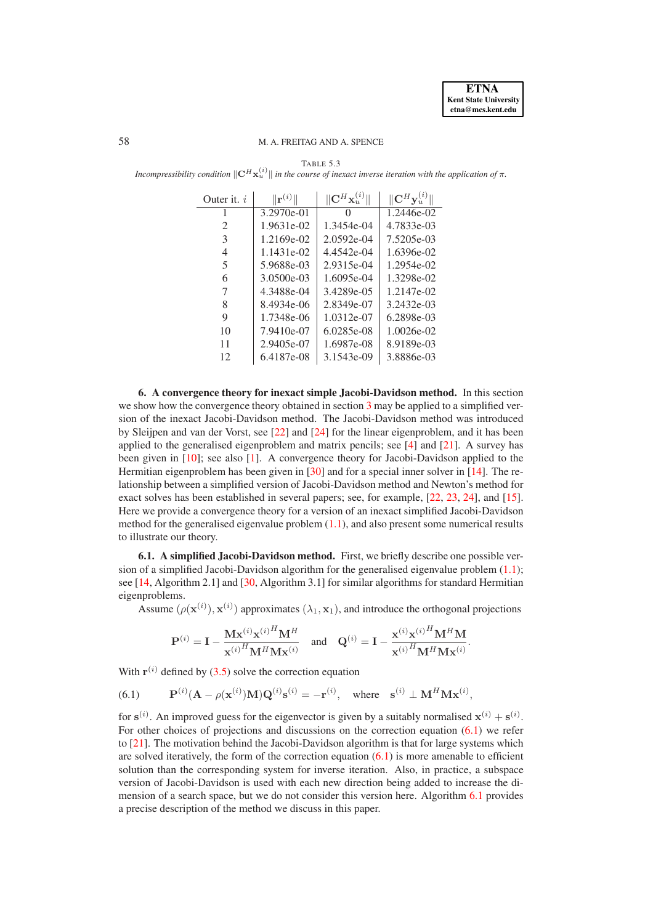### <span id="page-18-1"></span>58 M. A. FREITAG AND A. SPENCE

TABLE 5.3

*Incompressibility condition*  $\|\mathbf{C}^H\mathbf{x}_u^{(i)}\|$  in the course of inexact inverse iteration with the application of  $\pi$ .

| Outer it. $i$  | $\mathbf{r}^{(i)}$ | $\mathbb{C}^{H}$ | $\ {\bf C}^H{\bf v}$ |
|----------------|--------------------|------------------|----------------------|
|                | 3.2970e-01         |                  | $1.2446e-02$         |
| $\mathfrak{D}$ | 1.9631e-02         | 1.3454e-04       | 4.7833e-03           |
| 3              | 1.2169e-02         | $2.0592e-04$     | 7.5205e-03           |
| 4              | 1.1431e-02         | 4.4542e-04       | 1.6396e-02           |
| 5              | 5.9688e-03         | 2.9315e-04       | 1.2954e-02           |
| 6              | 3.0500e-03         | $1.6095e-04$     | 1.3298e-02           |
|                | 4.3488e-04         | 3.4289e-05       | 1.2147e-02           |
| 8              | 8.4934e-06         | 2.8349e-07       | 3.2432e-03           |
| 9              | 1.7348e-06         | 1.0312e-07       | 6.2898e-03           |
| 10             | 7.9410e-07         | 6.0285e-08       | $1.0026e-02$         |
| 11             | 2.9405e-07         | 1.6987e-08       | 8.9189e-03           |
| 12             | 6.4187e-08         | 3.1543e-09       | 3.8886e-03           |

<span id="page-18-0"></span>**6. A convergence theory for inexact simple Jacobi-Davidson method.** In this section we show how the convergence theory obtained in section [3](#page-4-0) may be applied to a simplified version of the inexact Jacobi-Davidson method. The Jacobi-Davidson method was introduced by Sleijpen and van der Vorst, see [\[22\]](#page-24-8) and [\[24\]](#page-24-9) for the linear eigenproblem, and it has been applied to the generalised eigenproblem and matrix pencils; see [\[4\]](#page-23-10) and [\[21\]](#page-24-7). A survey has been given in [\[10\]](#page-23-11); see also [\[1\]](#page-23-12). A convergence theory for Jacobi-Davidson applied to the Hermitian eigenproblem has been given in [\[30\]](#page-24-13) and for a special inner solver in [\[14\]](#page-24-14). The relationship between a simplified version of Jacobi-Davidson method and Newton's method for exact solves has been established in several papers; see, for example, [\[22,](#page-24-8) [23,](#page-24-15) [24\]](#page-24-9), and [\[15\]](#page-24-6). Here we provide a convergence theory for a version of an inexact simplified Jacobi-Davidson method for the generalised eigenvalue problem  $(1,1)$ , and also present some numerical results to illustrate our theory.

**6.1. A simplified Jacobi-Davidson method.** First, we briefly describe one possible version of a simplified Jacobi-Davidson algorithm for the generalised eigenvalue problem [\(1.1\)](#page-0-0); see [\[14,](#page-24-14) Algorithm 2.1] and [\[30,](#page-24-13) Algorithm 3.1] for similar algorithms for standard Hermitian eigenproblems.

Assume  $(\rho(\mathbf{x}^{(i)}), \mathbf{x}^{(i)})$  approximates  $(\lambda_1, \mathbf{x}_1)$ , and introduce the orthogonal projections

$$
\mathbf{P}^{(i)} = \mathbf{I} - \frac{\mathbf{M}\mathbf{x}^{(i)}\mathbf{x}^{(i)H}\mathbf{M}^H}{\mathbf{x}^{(i)H}\mathbf{M}^H\mathbf{M}\mathbf{x}^{(i)}} \quad \text{and} \quad \mathbf{Q}^{(i)} = \mathbf{I} - \frac{\mathbf{x}^{(i)}\mathbf{x}^{(i)H}\mathbf{M}^H\mathbf{M}}{\mathbf{x}^{(i)H}\mathbf{M}^H\mathbf{M}\mathbf{x}^{(i)}}.
$$

With  $r^{(i)}$  defined by [\(3.5\)](#page-6-0) solve the correction equation

<span id="page-18-2"></span> $(6.1)$  $^{(i)}$ (**A** -  $\rho(\mathbf{x}^{(i)})\mathbf{M})\mathbf{Q}^{(i)}\mathbf{s}^{(i)} = -\mathbf{r}^{(i)}$ , where  $\mathbf{s}^{(i)} \perp \mathbf{M}^H \mathbf{M} \mathbf{x}^{(i)}$ ,

<span id="page-18-3"></span>for  $s^{(i)}$ . An improved guess for the eigenvector is given by a suitably normalised  $x^{(i)} + s^{(i)}$ . For other choices of projections and discussions on the correction equation [\(6.1\)](#page-18-2) we refer to [\[21\]](#page-24-7). The motivation behind the Jacobi-Davidson algorithm is that for large systems which are solved iteratively, the form of the correction equation  $(6.1)$  is more amenable to efficient solution than the corresponding system for inverse iteration. Also, in practice, a subspace version of Jacobi-Davidson is used with each new direction being added to increase the dimension of a search space, but we do not consider this version here. Algorithm [6.1](#page-18-3) provides a precise description of the method we discuss in this paper.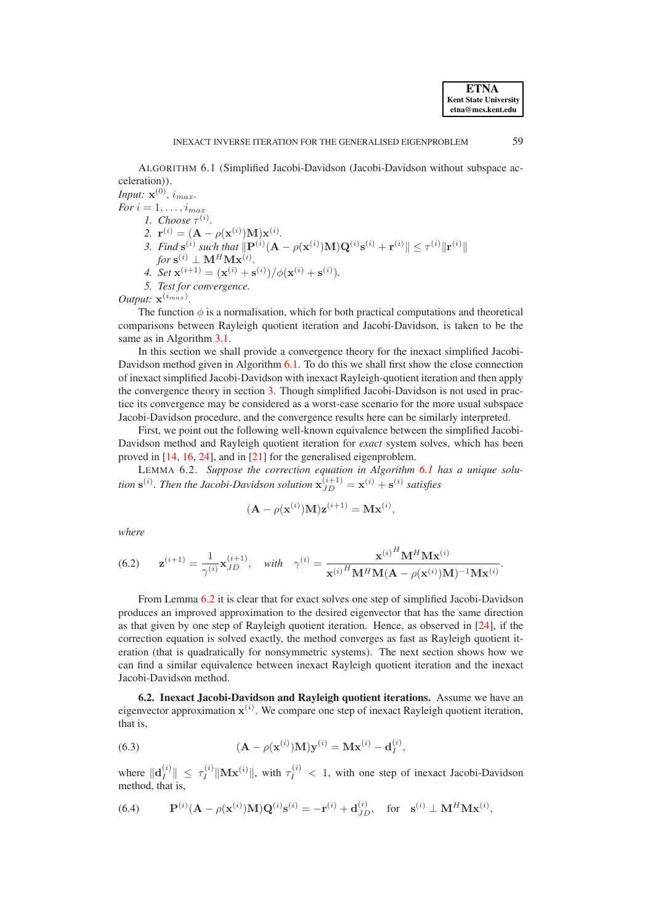ALGORITHM 6.1 (Simplified Jacobi-Davidson (Jacobi-Davidson without subspace acceleration)).

*Input:*  $\mathbf{x}^{(0)}$ *, i<sub>max</sub>. For*  $i = 1, \ldots, i_{max}$ 

*1.* Choose  $\tau^{(i)}$ .

- 2.  $\mathbf{r}^{(i)} = (\mathbf{A} \rho(\mathbf{x}^{(i)})\mathbf{M})\mathbf{x}^{(i)}$ .  $f^{(i)} = (A - \rho(x))$
- 3. Find  $\mathbf{s}^{(i)}$  such that  $\|\mathbf{P}^{(i)}(\mathbf{A} \rho(\mathbf{x}^{(i)})\mathbf{M})\mathbf{Q}^{(i)}\mathbf{s}^{(i)} + \mathbf{r}^{(i)}\| \leq \tau^{(i)}\|\mathbf{r}^{(i)}\|$  $for~{\bf s}^{(i)} \perp {\bf M}^H{\bf M}{\bf x}^{(i)}.$
- 4. Set  $\mathbf{x}^{(i+1)} = (\mathbf{x}^{(i)} + \mathbf{s}^{(i)})/\phi(\mathbf{x}^{(i)} + \mathbf{s}^{(i)}).$

*5. Test for convergence.*

*Output:*  $\mathbf{x}^{(i_{max})}$ .

The function  $\phi$  is a normalisation, which for both practical computations and theoretical comparisons between Rayleigh quotient iteration and Jacobi-Davidson, is taken to be the same as in Algorithm [3.1.](#page-4-1)

In this section we shall provide a convergence theory for the inexact simplified Jacobi-Davidson method given in Algorithm [6.1.](#page-18-3) To do this we shall first show the close connection of inexact simplified Jacobi-Davidson with inexact Rayleigh-quotient iteration and then apply the convergence theory in section [3.](#page-4-0) Though simplified Jacobi-Davidson is not used in practice its convergence may be considered as a worst-case scenario for the more usual subspace Jacobi-Davidson procedure, and the convergence results here can be similarly interpreted.

First, we point out the following well-known equivalence between the simplified Jacobi-Davidson method and Rayleigh quotient iteration for *exact* system solves, which has been proved in [\[14,](#page-24-14) [16,](#page-24-16) [24\]](#page-24-9), and in [\[21\]](#page-24-7) for the generalised eigenproblem.

LEMMA 6.2. *Suppose the correction equation in Algorithm [6.1](#page-18-3) has a unique solution*  $\mathbf{s}^{(i)}$ . Then the Jacobi-Davidson solution  $\mathbf{x}_{JD}^{(i+1)} = \mathbf{x}^{(i)} + \mathbf{s}^{(i)}$  satisfies

<span id="page-19-0"></span>
$$
(\mathbf{A} - \rho(\mathbf{x}^{(i)})\mathbf{M})\mathbf{z}^{(i+1)} = \mathbf{M}\mathbf{x}^{(i)},
$$

*where*

<span id="page-19-3"></span>(6.2) 
$$
\mathbf{z}^{(i+1)} = \frac{1}{\gamma^{(i)}} \mathbf{x}_{JD}^{(i+1)}, \text{ with } \gamma^{(i)} = \frac{\mathbf{x}^{(i)H} \mathbf{M}^{H} \mathbf{M} \mathbf{x}^{(i)}}{\mathbf{x}^{(i)H} \mathbf{M}^{H} \mathbf{M} (\mathbf{A} - \rho(\mathbf{x}^{(i)}) \mathbf{M})^{-1} \mathbf{M} \mathbf{x}^{(i)}}.
$$

From Lemma [6.2](#page-19-0) it is clear that for exact solves one step of simplified Jacobi-Davidson produces an improved approximation to the desired eigenvector that has the same direction as that given by one step of Rayleigh quotient iteration. Hence, as observed in [\[24\]](#page-24-9), if the correction equation is solved exactly, the method converges as fast as Rayleigh quotient iteration (that is quadratically for nonsymmetric systems). The next section shows how we can find a similar equivalence between inexact Rayleigh quotient iteration and the inexact Jacobi-Davidson method.

**6.2. Inexact Jacobi-Davidson and Rayleigh quotient iterations.** Assume we have an eigenvector approximation  $x^{(i)}$ . We compare one step of inexact Rayleigh quotient iteration, that is,

<span id="page-19-2"></span>(6.3) 
$$
(\mathbf{A} - \rho(\mathbf{x}^{(i)})\mathbf{M})\mathbf{y}^{(i)} = \mathbf{M}\mathbf{x}^{(i)} - \mathbf{d}_I^{(i)},
$$

where  $\|\mathbf{d}_I^{(i)}\|$  $\Vert \begin{array}{l} (i) \Vert \leq \tau_I^{(i)} \end{array}$  $\sum_{I}^{(i)} \| \mathbf{M} \mathbf{x}^{(i)} \|$ , with  $\tau_I^{(i)} < 1$ , with one step of inexact Jacobi-Davidson method, that is,

<span id="page-19-1"></span>(6.4) 
$$
\mathbf{P}^{(i)}(\mathbf{A} - \rho(\mathbf{x}^{(i)})\mathbf{M})\mathbf{Q}^{(i)}\mathbf{s}^{(i)} = -\mathbf{r}^{(i)} + \mathbf{d}_{JD}^{(i)}, \text{ for } \mathbf{s}^{(i)} \perp \mathbf{M}^{H} \mathbf{M} \mathbf{x}^{(i)},
$$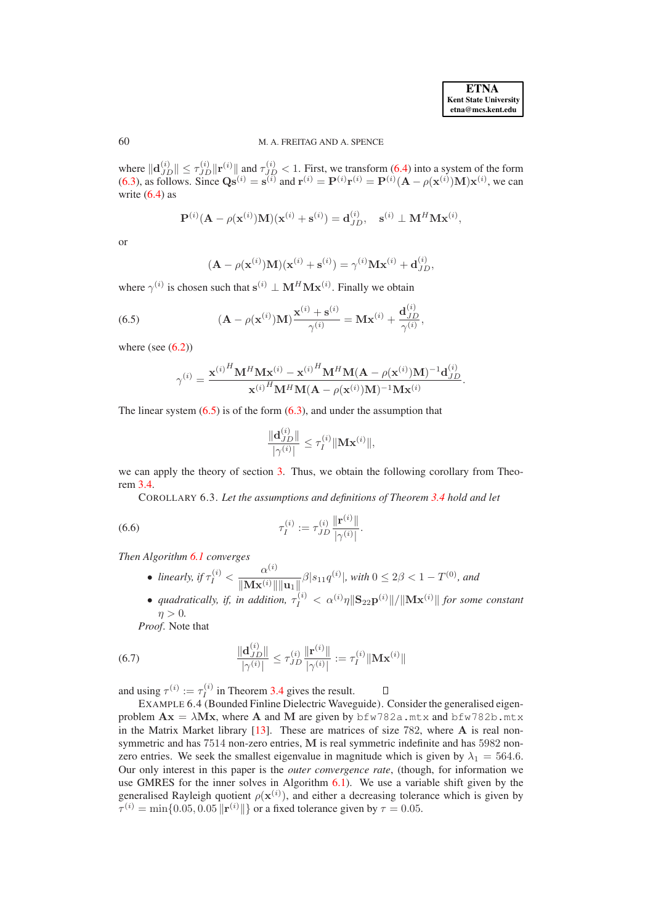60 M. A. FREITAG AND A. SPENCE

where  $\|\mathbf{d}_{JD}^{(i)}\| \le \tau_{JD}^{(i)} \|\mathbf{r}^{(i)}\|$  and  $\tau_{JD}^{(i)} < 1$ . First, we transform [\(6.4\)](#page-19-1) into a system of the form [\(6.3\)](#page-19-2), as follows. Since  $\mathbf{Q}\mathbf{s}^{(i)} = \mathbf{s}^{(i)}$  and  $\mathbf{r}^{(i)} = \mathbf{P}^{(i)}\mathbf{r}^{(i)} = \mathbf{P}^{(i)}(\mathbf{A} - \rho(\mathbf{x}^{(i)})\mathbf{M})\mathbf{x}^{(i)}$ , we can write  $(6.4)$  as

$$
\mathbf{P}^{(i)}(\mathbf{A} - \rho(\mathbf{x}^{(i)})\mathbf{M})(\mathbf{x}^{(i)} + \mathbf{s}^{(i)}) = \mathbf{d}_{JD}^{(i)}, \quad \mathbf{s}^{(i)} \perp \mathbf{M}^{H} \mathbf{M} \mathbf{x}^{(i)},
$$

or

$$
(\mathbf{A} - \rho(\mathbf{x}^{(i)})\mathbf{M})(\mathbf{x}^{(i)} + \mathbf{s}^{(i)}) = \gamma^{(i)}\mathbf{M}\mathbf{x}^{(i)} + \mathbf{d}_{JD}^{(i)},
$$

where  $\gamma^{(i)}$  is chosen such that  $\mathbf{s}^{(i)} \perp \mathbf{M}^{H} \mathbf{M} \mathbf{x}^{(i)}$ . Finally we obtain

<span id="page-20-0"></span>(6.5) 
$$
(\mathbf{A} - \rho(\mathbf{x}^{(i)})\mathbf{M}) \frac{\mathbf{x}^{(i)} + \mathbf{s}^{(i)}}{\gamma^{(i)}} = \mathbf{M}\mathbf{x}^{(i)} + \frac{\mathbf{d}_{JD}^{(i)}}{\gamma^{(i)}},
$$

where (see  $(6.2)$ )

$$
\gamma^{(i)} = \frac{{{\mathbf{x}^{(i)}}}^H\mathbf{M}^H\mathbf{M}{{\mathbf{x}^{(i)}} - {{\mathbf{x}^{(i)}}}^H\mathbf{M}^H\mathbf{M}({\mathbf{A}} - \rho({{\mathbf{x}^{(i)}}})\mathbf{M})^{-1}\mathbf{d}_{JD}^{(i)}}{{{\mathbf{x}^{(i)}}}^H\mathbf{M}^H\mathbf{M}({\mathbf{A}} - \rho({{\mathbf{x}^{(i)}}})\mathbf{M})^{-1}\mathbf{M}{{\mathbf{x}^{(i)}}}}.
$$

The linear system  $(6.5)$  is of the form  $(6.3)$ , and under the assumption that

$$
\frac{\|\mathbf{d}_{JD}^{(i)}\|}{|\gamma^{(i)}|} \leq \tau_I^{(i)} \|\mathbf{Mx}^{(i)}\|,
$$

we can apply the theory of section [3.](#page-4-0) Thus, we obtain the following corollary from Theorem [3.4.](#page-9-2)

COROLLARY 6.3. *Let the assumptions and definitions of Theorem [3.4](#page-9-2) hold and let*

(6.6) 
$$
\tau_I^{(i)} := \tau_{JD}^{(i)} \frac{\|\mathbf{r}^{(i)}\|}{|\gamma^{(i)}|}.
$$

*Then Algorithm [6.1](#page-18-3) converges*

- *linearly, if*  $\tau_I^{(i)} < \frac{\alpha^{(i)}}{\|\mathbf{M} \mathbf{x}^{(i)}\|}$  $\frac{d^{(k+1)}}{\|\mathbf{M} \mathbf{x}^{(i)}\| \|\mathbf{u}_1\|^2} \beta |s_{11} q^{(i)}|$ , with  $0 \le 2\beta < 1 - T^{(0)}$ , and
- *quadratically, if, in addition,*  $\tau_I^{(i)} < \alpha^{(i)} \eta \|\mathbf{S}_{22} \mathbf{p}^{(i)}\| / \|\mathbf{M} \mathbf{x}^{(i)}\|$  *for some constant* (i)  $\eta > 0$ .

<span id="page-20-1"></span> $\Box$ 

<span id="page-20-2"></span>*Proof*. Note that

(6.7) 
$$
\frac{\|\mathbf{d}_{JD}^{(i)}\|}{|\gamma^{(i)}|} \leq \tau_{JD}^{(i)} \frac{\|\mathbf{r}^{(i)}\|}{|\gamma^{(i)}|} := \tau_I^{(i)} \|\mathbf{M} \mathbf{x}^{(i)}\|
$$

and using  $\tau^{(i)} := \tau_I^{(i)}$  $I_I^{(v)}$  in Theorem [3.4](#page-9-2) gives the result.

EXAMPLE 6.4 (Bounded Finline Dielectric Waveguide). Consider the generalised eigenproblem  $\mathbf{A}\mathbf{x} = \lambda \mathbf{M}\mathbf{x}$ , where  $\mathbf{A}$  and  $\mathbf{M}$  are given by  $\beta$  fw 782a.mtx and  $\beta$  fw 782b.mtx in the Matrix Market library  $[13]$ . These are matrices of size 782, where  $\bf{A}$  is real nonsymmetric and has 7514 non-zero entries, M is real symmetric indefinite and has 5982 nonzero entries. We seek the smallest eigenvalue in magnitude which is given by  $\lambda_1 = 564.6$ . Our only interest in this paper is the *outer convergence rate*, (though, for information we use GMRES for the inner solves in Algorithm [6.1\)](#page-18-3). We use a variable shift given by the generalised Rayleigh quotient  $\rho(\mathbf{x}^{(i)})$ , and either a decreasing tolerance which is given by  $\tau^{(i)} = \min\{0.05, 0.05 \|\mathbf{r}^{(i)}\|\}$  or a fixed tolerance given by  $\tau = 0.05$ .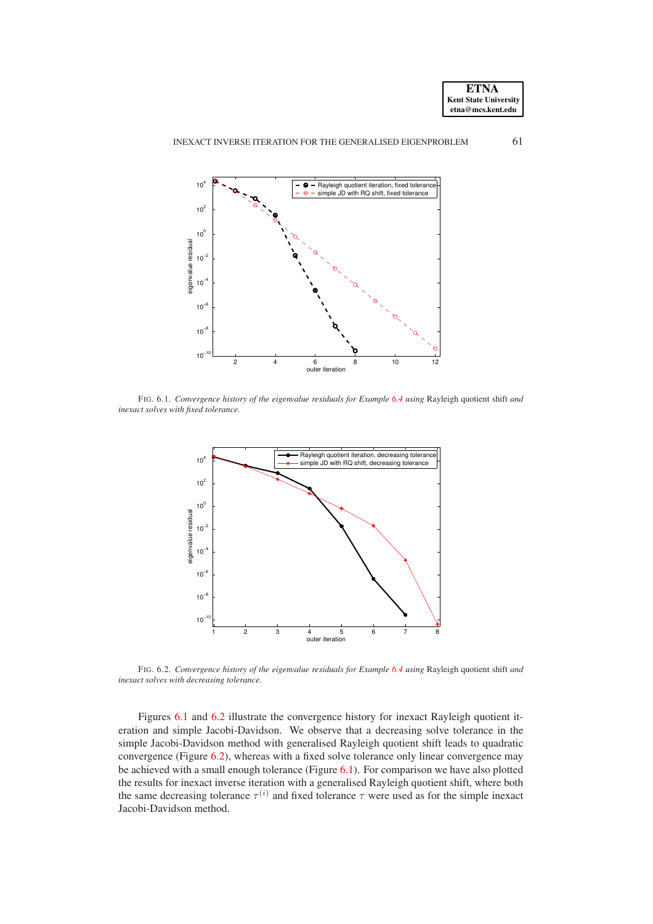



<span id="page-21-0"></span>FIG. 6.1. *Convergence history of the eigenvalue residuals for Example [6.4](#page-20-1) using* Rayleigh quotient shift *and inexact solves with fixed tolerance.*



<span id="page-21-1"></span>FIG. 6.2. *Convergence history of the eigenvalue residuals for Example [6.4](#page-20-1) using* Rayleigh quotient shift *and inexact solves with decreasing tolerance.*

Figures [6.1](#page-21-0) and [6.2](#page-21-1) illustrate the convergence history for inexact Rayleigh quotient iteration and simple Jacobi-Davidson. We observe that a decreasing solve tolerance in the simple Jacobi-Davidson method with generalised Rayleigh quotient shift leads to quadratic convergence (Figure [6.2\)](#page-21-1), whereas with a fixed solve tolerance only linear convergence may be achieved with a small enough tolerance (Figure [6.1\)](#page-21-0). For comparison we have also plotted the results for inexact inverse iteration with a generalised Rayleigh quotient shift, where both the same decreasing tolerance  $\tau^{(i)}$  and fixed tolerance  $\tau$  were used as for the simple inexact Jacobi-Davidson method.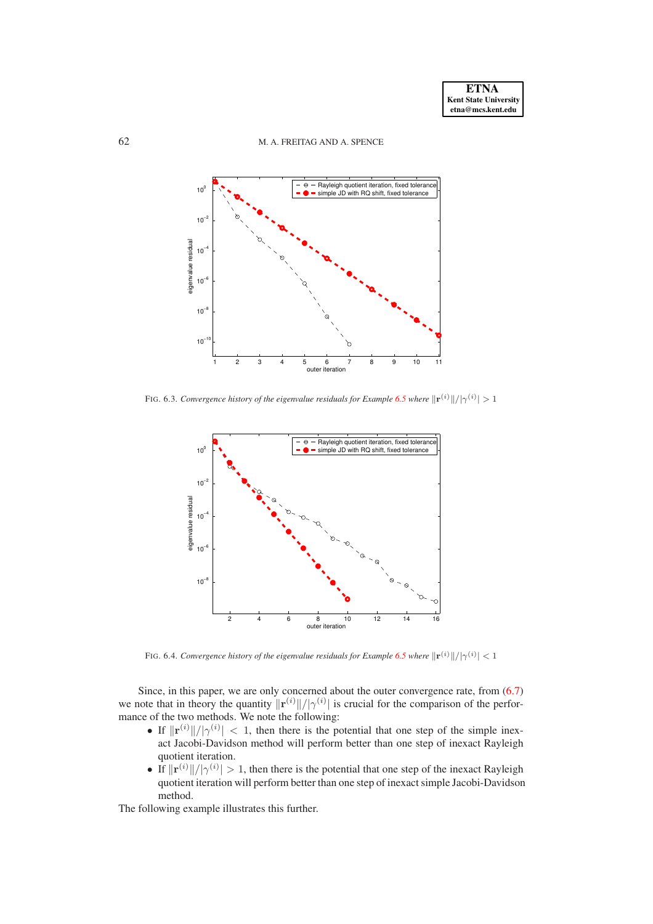

<span id="page-22-1"></span>FIG. 6.3. *Convergence history of the eigenvalue residuals for Example* [6.5](#page-22-0) where  $\|\mathbf{r}^{(i)}\|/|\gamma^{(i)}| > 1$ 



FIG. 6.4. *Convergence history of the eigenvalue residuals for Example* [6.5](#page-22-0) where  $\|\mathbf{r}^{(i)}\|/|\gamma^{(i)}| < 1$ 

<span id="page-22-2"></span>Since, in this paper, we are only concerned about the outer convergence rate, from [\(6.7\)](#page-20-2) we note that in theory the quantity  $||\mathbf{r}^{(i)}||/|\gamma^{(i)}|$  is crucial for the comparison of the performance of the two methods. We note the following:

- If  $\|\mathbf{r}^{(i)}\|/|\gamma^{(i)}| < 1$ , then there is the potential that one step of the simple inexact Jacobi-Davidson method will perform better than one step of inexact Rayleigh quotient iteration.
- <span id="page-22-0"></span>• If  $||\mathbf{r}^{(i)}||/|\gamma^{(i)}| > 1$ , then there is the potential that one step of the inexact Rayleigh quotient iteration will perform better than one step of inexact simple Jacobi-Davidson method.

The following example illustrates this further.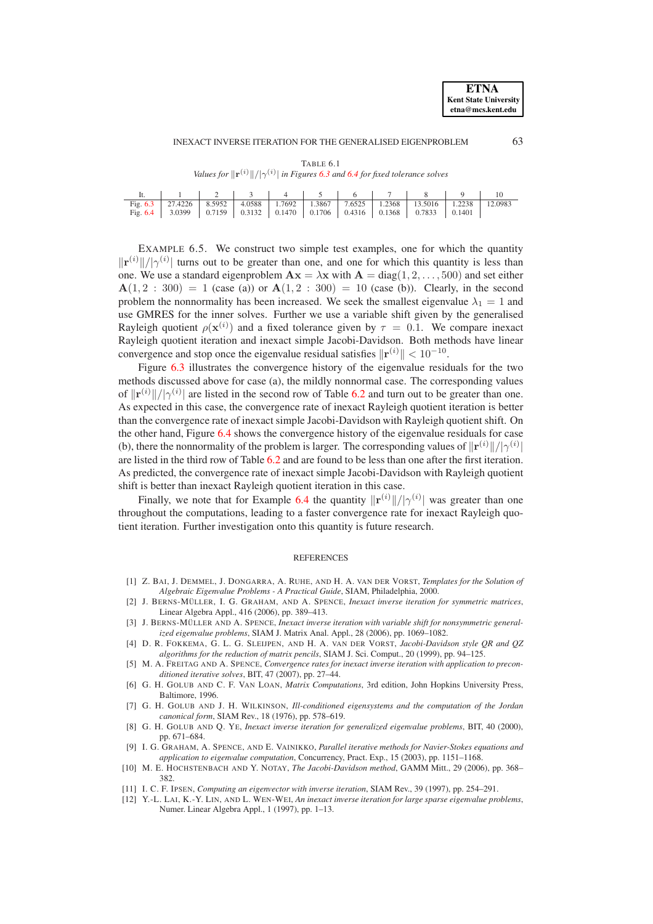INEXACT INVERSE ITERATION FOR THE GENERALISED EIGENPROBLEM 63

| TABLE 6.1 |  |  |
|-----------|--|--|

<span id="page-23-9"></span>

|  |  |  |  | It.   1   2   3   4   5   6   7   8   9   10                                      |  |
|--|--|--|--|-----------------------------------------------------------------------------------|--|
|  |  |  |  | Fig. 6.3 27.4226 8.5952 4.0588 1.7692 1.3867 7.6525 1.2368 13.5016 1.2238 12.0983 |  |
|  |  |  |  | Fig. 6.4 3.0399 0.7159 0.3132 0.1470 0.1706 0.4316 0.1368 0.7833 0.1401           |  |

*Values for*  $\|\mathbf{r}^{(i)}\|/\gamma^{(i)}$  *in Figures* [6.3](#page-22-1) *and* [6.4](#page-22-2) *for fixed tolerance solves* 

EXAMPLE 6.5. We construct two simple test examples, one for which the quantity  $||\mathbf{r}^{(i)}||/|\gamma^{(i)}|$  turns out to be greater than one, and one for which this quantity is less than one. We use a standard eigenproblem  $\mathbf{A}\mathbf{x} = \lambda \mathbf{x}$  with  $\mathbf{A} = \text{diag}(1, 2, \dots, 500)$  and set either  $A(1, 2 : 300) = 1$  (case (a)) or  $A(1, 2 : 300) = 10$  (case (b)). Clearly, in the second problem the nonnormality has been increased. We seek the smallest eigenvalue  $\lambda_1 = 1$  and use GMRES for the inner solves. Further we use a variable shift given by the generalised Rayleigh quotient  $\rho(\mathbf{x}^{(i)})$  and a fixed tolerance given by  $\tau = 0.1$ . We compare inexact Rayleigh quotient iteration and inexact simple Jacobi-Davidson. Both methods have linear convergence and stop once the eigenvalue residual satisfies  $\|\mathbf{r}^{(i)}\| < 10^{-10}$ .

Figure [6.3](#page-22-1) illustrates the convergence history of the eigenvalue residuals for the two methods discussed above for case (a), the mildly nonnormal case. The corresponding values of  $\|\mathbf{r}^{(i)}\|/\gamma^{(i)}\|$  are listed in the second row of Table [6.2](#page-23-9) and turn out to be greater than one. As expected in this case, the convergence rate of inexact Rayleigh quotient iteration is better than the convergence rate of inexact simple Jacobi-Davidson with Rayleigh quotient shift. On the other hand, Figure [6.4](#page-22-2) shows the convergence history of the eigenvalue residuals for case (b), there the nonnormality of the problem is larger. The corresponding values of  $\|\mathbf{r}^{(i)}\|/|\gamma^{(i)}|$ are listed in the third row of Table [6.2](#page-23-9) and are found to be less than one after the first iteration. As predicted, the convergence rate of inexact simple Jacobi-Davidson with Rayleigh quotient shift is better than inexact Rayleigh quotient iteration in this case.

Finally, we note that for Example [6.4](#page-20-1) the quantity  $||\mathbf{r}^{(i)}||/|\gamma^{(i)}|$  was greater than one throughout the computations, leading to a faster convergence rate for inexact Rayleigh quotient iteration. Further investigation onto this quantity is future research.

#### REFERENCES

- <span id="page-23-12"></span><span id="page-23-6"></span>[1] Z. BAI, J. DEMMEL, J. DONGARRA, A. RUHE, AND H. A. VAN DER VORST, *Templates for the Solution of Algebraic Eigenvalue Problems - A Practical Guide*, SIAM, Philadelphia, 2000.
- [2] J. BERNS-MÜLLER, I. G. GRAHAM, AND A. SPENCE, *Inexact inverse iteration for symmetric matrices*, Linear Algebra Appl., 416 (2006), pp. 389–413.
- <span id="page-23-4"></span>[3] J. BERNS-MÜLLER AND A. SPENCE, *Inexact inverse iteration with variable shift for nonsymmetric generalized eigenvalue problems*, SIAM J. Matrix Anal. Appl., 28 (2006), pp. 1069–1082.
- <span id="page-23-10"></span>[4] D. R. FOKKEMA, G. L. G. SLEIJPEN, AND H. A. VAN DER VORST, *Jacobi-Davidson style QR and QZ algorithms for the reduction of matrix pencils*, SIAM J. Sci. Comput., 20 (1999), pp. 94–125.
- <span id="page-23-5"></span>[5] M. A. FREITAG AND A. SPENCE, *Convergence rates for inexact inverse iteration with application to preconditioned iterative solves*, BIT, 47 (2007), pp. 27–44.
- <span id="page-23-8"></span>[6] G. H. GOLUB AND C. F. VAN LOAN, *Matrix Computations*, 3rd edition, John Hopkins University Press, Baltimore, 1996.
- <span id="page-23-0"></span>[7] G. H. GOLUB AND J. H. WILKINSON, *Ill-conditioned eigensystems and the computation of the Jordan canonical form*, SIAM Rev., 18 (1976), pp. 578–619.
- <span id="page-23-2"></span>[8] G. H. GOLUB AND Q. YE, *Inexact inverse iteration for generalized eigenvalue problems*, BIT, 40 (2000), pp. 671–684.
- <span id="page-23-7"></span>[9] I. G. GRAHAM, A. SPENCE, AND E. VAINIKKO, *Parallel iterative methods for Navier-Stokes equations and application to eigenvalue computation*, Concurrency, Pract. Exp., 15 (2003), pp. 1151–1168.
- <span id="page-23-11"></span>[10] M. E. HOCHSTENBACH AND Y. NOTAY, *The Jacobi-Davidson method*, GAMM Mitt., 29 (2006), pp. 368– 382.
- <span id="page-23-3"></span><span id="page-23-1"></span>[11] I. C. F. IPSEN, *Computing an eigenvector with inverse iteration*, SIAM Rev., 39 (1997), pp. 254–291.
- [12] Y.-L. LAI, K.-Y. LIN, AND L. WEN-WEI, *An inexact inverse iteration for large sparse eigenvalue problems*, Numer. Linear Algebra Appl., 1 (1997), pp. 1–13.